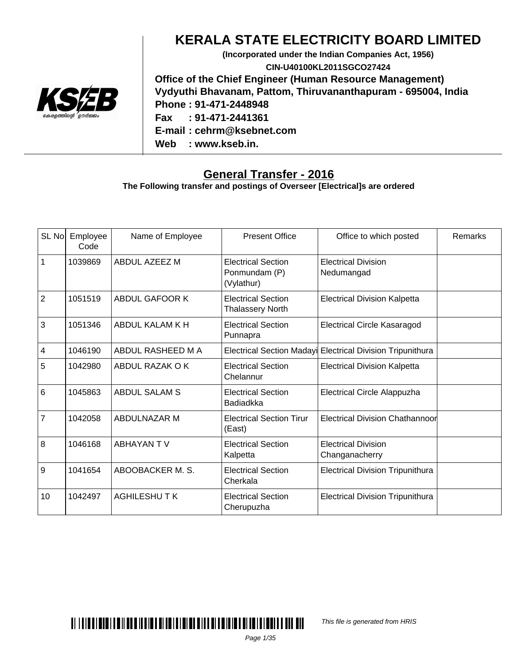

#### **KERALA STATE ELECTRICITY BOARD LIMITED**

**(Incorporated under the Indian Companies Act, 1956) CIN-U40100KL2011SGCO27424 Office of the Chief Engineer (Human Resource Management) Vydyuthi Bhavanam, Pattom, Thiruvananthapuram - 695004, India Phone : 91-471-2448948 Fax : 91-471-2441361 E-mail : cehrm@ksebnet.com Web : www.kseb.in.**

#### **General Transfer - 2016**

**The Following transfer and postings of Overseer [Electrical]s are ordered**

| SL No                   | Employee<br>Code | Name of Employee      | <b>Present Office</b>                                    | Office to which posted                                     | Remarks |
|-------------------------|------------------|-----------------------|----------------------------------------------------------|------------------------------------------------------------|---------|
| $\mathbf{1}$            | 1039869          | ABDUL AZEEZ M         | <b>Electrical Section</b><br>Ponmundam (P)<br>(Vylathur) | <b>Electrical Division</b><br>Nedumangad                   |         |
| $\overline{2}$          | 1051519          | <b>ABDUL GAFOOR K</b> | <b>Electrical Section</b><br><b>Thalassery North</b>     | <b>Electrical Division Kalpetta</b>                        |         |
| $\mathbf{3}$            | 1051346          | ABDUL KALAM K H       | <b>Electrical Section</b><br>Punnapra                    | <b>Electrical Circle Kasaragod</b>                         |         |
| $\overline{\mathbf{4}}$ | 1046190          | ABDUL RASHEED M A     |                                                          | Electrical Section Madayi Electrical Division Tripunithura |         |
| 5                       | 1042980          | ABDUL RAZAK O K       | <b>Electrical Section</b><br>Chelannur                   | <b>Electrical Division Kalpetta</b>                        |         |
| $6\overline{6}$         | 1045863          | <b>ABDUL SALAM S</b>  | <b>Electrical Section</b><br><b>Badiadkka</b>            | Electrical Circle Alappuzha                                |         |
| $\overline{7}$          | 1042058          | ABDULNAZAR M          | <b>Electrical Section Tirur</b><br>(East)                | <b>Electrical Division Chathannoor</b>                     |         |
| $\overline{8}$          | 1046168          | <b>ABHAYAN TV</b>     | <b>Electrical Section</b><br>Kalpetta                    | <b>Electrical Division</b><br>Changanacherry               |         |
| 9                       | 1041654          | ABOOBACKER M. S.      | <b>Electrical Section</b><br>Cherkala                    | <b>Electrical Division Tripunithura</b>                    |         |
| 10                      | 1042497          | AGHILESHUTK           | <b>Electrical Section</b><br>Cherupuzha                  | <b>Electrical Division Tripunithura</b>                    |         |



This file is generated from HRIS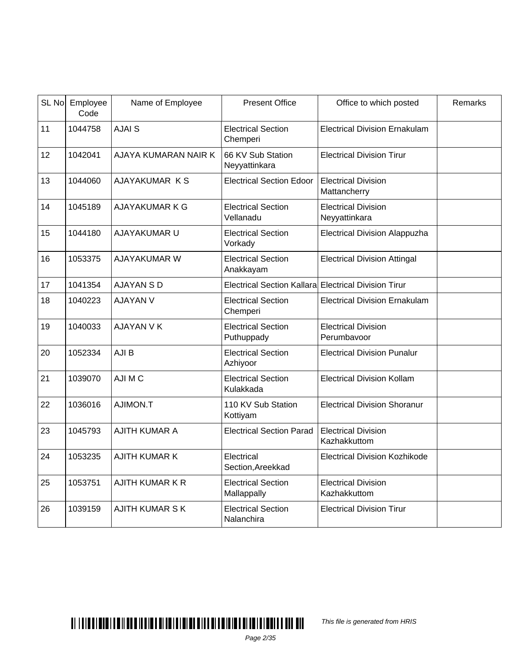|    | SL No Employee<br>Code | Name of Employee       | <b>Present Office</b>                                | Office to which posted                      | Remarks |
|----|------------------------|------------------------|------------------------------------------------------|---------------------------------------------|---------|
| 11 | 1044758                | <b>AJAI S</b>          | <b>Electrical Section</b><br>Chemperi                | <b>Electrical Division Ernakulam</b>        |         |
| 12 | 1042041                | AJAYA KUMARAN NAIR K   | 66 KV Sub Station<br>Neyyattinkara                   | <b>Electrical Division Tirur</b>            |         |
| 13 | 1044060                | AJAYAKUMAR KS          | <b>Electrical Section Edoor</b>                      | <b>Electrical Division</b><br>Mattancherry  |         |
| 14 | 1045189                | AJAYAKUMAR K G         | <b>Electrical Section</b><br>Vellanadu               | <b>Electrical Division</b><br>Neyyattinkara |         |
| 15 | 1044180                | AJAYAKUMAR U           | <b>Electrical Section</b><br>Vorkady                 | <b>Electrical Division Alappuzha</b>        |         |
| 16 | 1053375                | <b>AJAYAKUMAR W</b>    | <b>Electrical Section</b><br>Anakkayam               | <b>Electrical Division Attingal</b>         |         |
| 17 | 1041354                | AJAYAN S D             | Electrical Section Kallara Electrical Division Tirur |                                             |         |
| 18 | 1040223                | <b>AJAYAN V</b>        | <b>Electrical Section</b><br>Chemperi                | <b>Electrical Division Ernakulam</b>        |         |
| 19 | 1040033                | <b>AJAYAN V K</b>      | <b>Electrical Section</b><br>Puthuppady              | <b>Electrical Division</b><br>Perumbavoor   |         |
| 20 | 1052334                | AJI B                  | <b>Electrical Section</b><br>Azhiyoor                | <b>Electrical Division Punalur</b>          |         |
| 21 | 1039070                | AJI M C                | <b>Electrical Section</b><br>Kulakkada               | <b>Electrical Division Kollam</b>           |         |
| 22 | 1036016                | AJIMON.T               | 110 KV Sub Station<br>Kottiyam                       | <b>Electrical Division Shoranur</b>         |         |
| 23 | 1045793                | <b>AJITH KUMAR A</b>   | <b>Electrical Section Parad</b>                      | <b>Electrical Division</b><br>Kazhakkuttom  |         |
| 24 | 1053235                | <b>AJITH KUMAR K</b>   | Electrical<br>Section, Areekkad                      | <b>Electrical Division Kozhikode</b>        |         |
| 25 | 1053751                | <b>AJITH KUMAR K R</b> | <b>Electrical Section</b><br>Mallappally             | <b>Electrical Division</b><br>Kazhakkuttom  |         |
| 26 | 1039159                | <b>AJITH KUMAR S K</b> | <b>Electrical Section</b><br>Nalanchira              | <b>Electrical Division Tirur</b>            |         |

This file is generated from HRIS

Page 2/35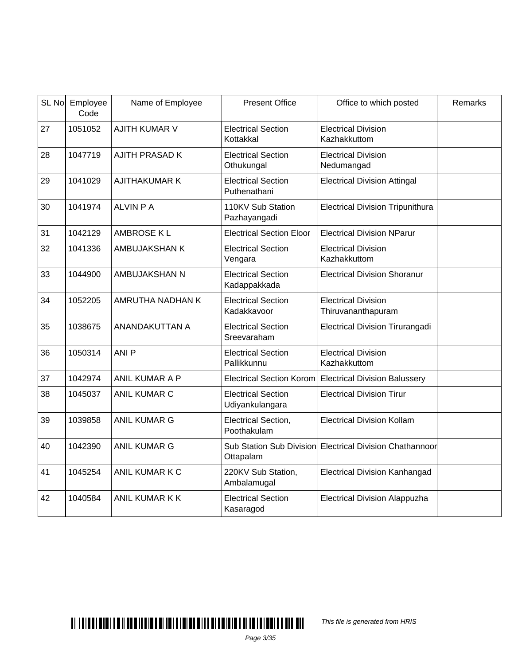| SL No | Employee<br>Code | Name of Employee        | <b>Present Office</b>                        | Office to which posted                           | Remarks |
|-------|------------------|-------------------------|----------------------------------------------|--------------------------------------------------|---------|
| 27    | 1051052          | <b>AJITH KUMAR V</b>    | <b>Electrical Section</b><br>Kottakkal       | <b>Electrical Division</b><br>Kazhakkuttom       |         |
| 28    | 1047719          | <b>AJITH PRASAD K</b>   | <b>Electrical Section</b><br>Othukungal      | <b>Electrical Division</b><br>Nedumangad         |         |
| 29    | 1041029          | <b>AJITHAKUMAR K</b>    | <b>Electrical Section</b><br>Puthenathani    | <b>Electrical Division Attingal</b>              |         |
| 30    | 1041974          | <b>ALVIN P A</b>        | 110KV Sub Station<br>Pazhayangadi            | <b>Electrical Division Tripunithura</b>          |         |
| 31    | 1042129          | <b>AMBROSE KL</b>       | <b>Electrical Section Eloor</b>              | <b>Electrical Division NParur</b>                |         |
| 32    | 1041336          | AMBUJAKSHAN K           | <b>Electrical Section</b><br>Vengara         | <b>Electrical Division</b><br>Kazhakkuttom       |         |
| 33    | 1044900          | AMBUJAKSHAN N           | <b>Electrical Section</b><br>Kadappakkada    | <b>Electrical Division Shoranur</b>              |         |
| 34    | 1052205          | <b>AMRUTHA NADHAN K</b> | <b>Electrical Section</b><br>Kadakkavoor     | <b>Electrical Division</b><br>Thiruvananthapuram |         |
| 35    | 1038675          | ANANDAKUTTAN A          | <b>Electrical Section</b><br>Sreevaraham     | <b>Electrical Division Tirurangadi</b>           |         |
| 36    | 1050314          | ANI <sub>P</sub>        | <b>Electrical Section</b><br>Pallikkunnu     | <b>Electrical Division</b><br>Kazhakkuttom       |         |
| 37    | 1042974          | ANIL KUMAR A P          | <b>Electrical Section Korom</b>              | <b>Electrical Division Balussery</b>             |         |
| 38    | 1045037          | <b>ANIL KUMAR C</b>     | <b>Electrical Section</b><br>Udiyankulangara | <b>Electrical Division Tirur</b>                 |         |
| 39    | 1039858          | <b>ANIL KUMAR G</b>     | Electrical Section,<br>Poothakulam           | <b>Electrical Division Kollam</b>                |         |
| 40    | 1042390          | <b>ANIL KUMAR G</b>     | Sub Station Sub Division<br>Ottapalam        | Electrical Division Chathannoor                  |         |
| 41    | 1045254          | ANIL KUMAR K C          | 220KV Sub Station,<br>Ambalamugal            | <b>Electrical Division Kanhangad</b>             |         |
| 42    | 1040584          | <b>ANIL KUMAR K K</b>   | <b>Electrical Section</b><br>Kasaragod       | <b>Electrical Division Alappuzha</b>             |         |

This file is generated from HRIS

Page 3/35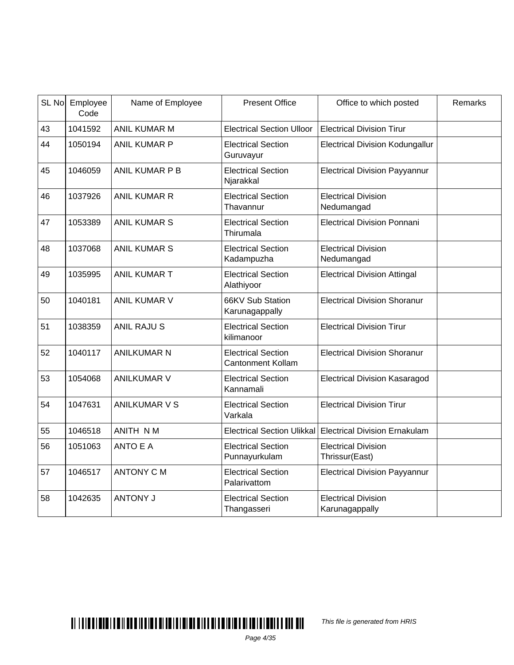| SL No | Employee<br>Code | Name of Employee     | <b>Present Office</b>                                 | Office to which posted                       | Remarks |
|-------|------------------|----------------------|-------------------------------------------------------|----------------------------------------------|---------|
| 43    | 1041592          | ANIL KUMAR M         | <b>Electrical Section Ulloor</b>                      | <b>Electrical Division Tirur</b>             |         |
| 44    | 1050194          | ANIL KUMAR P         | <b>Electrical Section</b><br>Guruvayur                | <b>Electrical Division Kodungallur</b>       |         |
| 45    | 1046059          | ANIL KUMAR P B       | <b>Electrical Section</b><br>Njarakkal                | <b>Electrical Division Payyannur</b>         |         |
| 46    | 1037926          | <b>ANIL KUMAR R</b>  | <b>Electrical Section</b><br>Thavannur                | <b>Electrical Division</b><br>Nedumangad     |         |
| 47    | 1053389          | <b>ANIL KUMAR S</b>  | <b>Electrical Section</b><br>Thirumala                | <b>Electrical Division Ponnani</b>           |         |
| 48    | 1037068          | <b>ANIL KUMAR S</b>  | <b>Electrical Section</b><br>Kadampuzha               | <b>Electrical Division</b><br>Nedumangad     |         |
| 49    | 1035995          | <b>ANIL KUMAR T</b>  | <b>Electrical Section</b><br>Alathiyoor               | <b>Electrical Division Attingal</b>          |         |
| 50    | 1040181          | <b>ANIL KUMAR V</b>  | 66KV Sub Station<br>Karunagappally                    | <b>Electrical Division Shoranur</b>          |         |
| 51    | 1038359          | <b>ANIL RAJUS</b>    | <b>Electrical Section</b><br>kilimanoor               | <b>Electrical Division Tirur</b>             |         |
| 52    | 1040117          | <b>ANILKUMAR N</b>   | <b>Electrical Section</b><br><b>Cantonment Kollam</b> | <b>Electrical Division Shoranur</b>          |         |
| 53    | 1054068          | <b>ANILKUMAR V</b>   | <b>Electrical Section</b><br>Kannamali                | <b>Electrical Division Kasaragod</b>         |         |
| 54    | 1047631          | <b>ANILKUMAR V S</b> | <b>Electrical Section</b><br>Varkala                  | <b>Electrical Division Tirur</b>             |         |
| 55    | 1046518          | ANITH NM             | <b>Electrical Section Ulikkal</b>                     | <b>Electrical Division Ernakulam</b>         |         |
| 56    | 1051063          | <b>ANTO E A</b>      | <b>Electrical Section</b><br>Punnayurkulam            | <b>Electrical Division</b><br>Thrissur(East) |         |
| 57    | 1046517          | <b>ANTONY C M</b>    | <b>Electrical Section</b><br>Palarivattom             | <b>Electrical Division Payyannur</b>         |         |
| 58    | 1042635          | <b>ANTONY J</b>      | <b>Electrical Section</b><br>Thangasseri              | <b>Electrical Division</b><br>Karunagappally |         |

This file is generated from HRIS

Page 4/35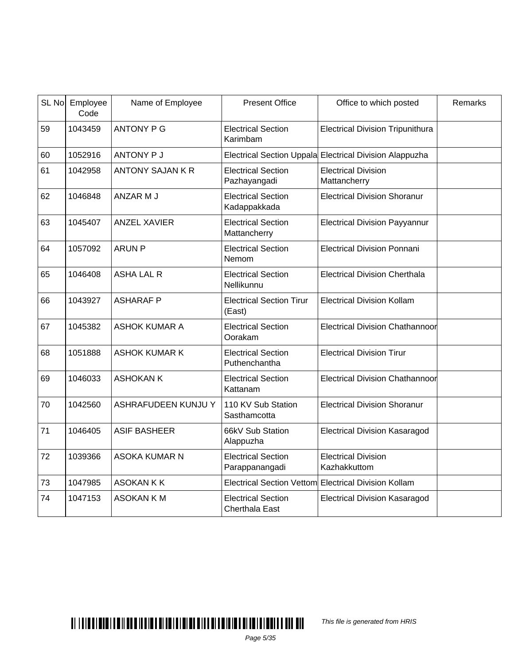|    | SL No Employee<br>Code | Name of Employee        | <b>Present Office</b>                              | Office to which posted                                  | Remarks |
|----|------------------------|-------------------------|----------------------------------------------------|---------------------------------------------------------|---------|
| 59 | 1043459                | <b>ANTONY P G</b>       | <b>Electrical Section</b><br>Karimbam              | <b>Electrical Division Tripunithura</b>                 |         |
| 60 | 1052916                | <b>ANTONY P J</b>       |                                                    | Electrical Section Uppala Electrical Division Alappuzha |         |
| 61 | 1042958                | <b>ANTONY SAJAN K R</b> | <b>Electrical Section</b><br>Pazhayangadi          | <b>Electrical Division</b><br>Mattancherry              |         |
| 62 | 1046848                | ANZAR M J               | <b>Electrical Section</b><br>Kadappakkada          | <b>Electrical Division Shoranur</b>                     |         |
| 63 | 1045407                | <b>ANZEL XAVIER</b>     | <b>Electrical Section</b><br>Mattancherry          | <b>Electrical Division Payyannur</b>                    |         |
| 64 | 1057092                | <b>ARUN P</b>           | <b>Electrical Section</b><br>Nemom                 | <b>Electrical Division Ponnani</b>                      |         |
| 65 | 1046408                | <b>ASHA LAL R</b>       | <b>Electrical Section</b><br>Nellikunnu            | <b>Electrical Division Cherthala</b>                    |         |
| 66 | 1043927                | <b>ASHARAF P</b>        | <b>Electrical Section Tirur</b><br>(East)          | <b>Electrical Division Kollam</b>                       |         |
| 67 | 1045382                | <b>ASHOK KUMAR A</b>    | <b>Electrical Section</b><br>Oorakam               | Electrical Division Chathannoor                         |         |
| 68 | 1051888                | <b>ASHOK KUMAR K</b>    | <b>Electrical Section</b><br>Puthenchantha         | <b>Electrical Division Tirur</b>                        |         |
| 69 | 1046033                | <b>ASHOKAN K</b>        | <b>Electrical Section</b><br>Kattanam              | Electrical Division Chathannoor                         |         |
| 70 | 1042560                | ASHRAFUDEEN KUNJU Y     | 110 KV Sub Station<br>Sasthamcotta                 | <b>Electrical Division Shoranur</b>                     |         |
| 71 | 1046405                | <b>ASIF BASHEER</b>     | 66kV Sub Station<br>Alappuzha                      | <b>Electrical Division Kasaragod</b>                    |         |
| 72 | 1039366                | <b>ASOKA KUMAR N</b>    | <b>Electrical Section</b><br>Parappanangadi        | <b>Electrical Division</b><br>Kazhakkuttom              |         |
| 73 | 1047985                | <b>ASOKAN K K</b>       | <b>Electrical Section Vettom</b>                   | <b>Electrical Division Kollam</b>                       |         |
| 74 | 1047153                | <b>ASOKAN KM</b>        | <b>Electrical Section</b><br><b>Cherthala East</b> | <b>Electrical Division Kasaragod</b>                    |         |

This file is generated from HRIS

Page 5/35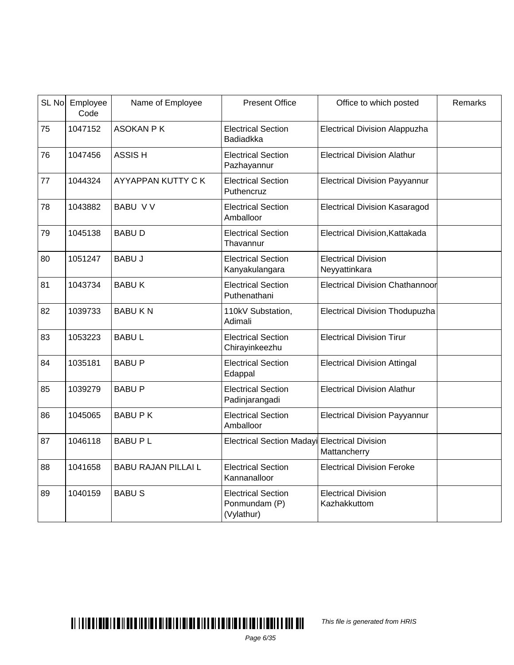|    | SL No Employee<br>Code | Name of Employee           | <b>Present Office</b>                                    | Office to which posted                      | Remarks |
|----|------------------------|----------------------------|----------------------------------------------------------|---------------------------------------------|---------|
| 75 | 1047152                | <b>ASOKAN PK</b>           | <b>Electrical Section</b><br>Badiadkka                   | <b>Electrical Division Alappuzha</b>        |         |
| 76 | 1047456                | <b>ASSISH</b>              | <b>Electrical Section</b><br>Pazhayannur                 | <b>Electrical Division Alathur</b>          |         |
| 77 | 1044324                | AYYAPPAN KUTTY CK          | <b>Electrical Section</b><br>Puthencruz                  | <b>Electrical Division Payyannur</b>        |         |
| 78 | 1043882                | <b>BABU VV</b>             | <b>Electrical Section</b><br>Amballoor                   | <b>Electrical Division Kasaragod</b>        |         |
| 79 | 1045138                | <b>BABUD</b>               | <b>Electrical Section</b><br>Thavannur                   | Electrical Division, Kattakada              |         |
| 80 | 1051247                | <b>BABU J</b>              | <b>Electrical Section</b><br>Kanyakulangara              | <b>Electrical Division</b><br>Neyyattinkara |         |
| 81 | 1043734                | <b>BABUK</b>               | <b>Electrical Section</b><br>Puthenathani                | <b>Electrical Division Chathannoor</b>      |         |
| 82 | 1039733                | <b>BABUKN</b>              | 110kV Substation,<br>Adimali                             | <b>Electrical Division Thodupuzha</b>       |         |
| 83 | 1053223                | <b>BABUL</b>               | <b>Electrical Section</b><br>Chirayinkeezhu              | <b>Electrical Division Tirur</b>            |         |
| 84 | 1035181                | <b>BABU P</b>              | <b>Electrical Section</b><br>Edappal                     | <b>Electrical Division Attingal</b>         |         |
| 85 | 1039279                | <b>BABU P</b>              | <b>Electrical Section</b><br>Padinjarangadi              | <b>Electrical Division Alathur</b>          |         |
| 86 | 1045065                | <b>BABUPK</b>              | <b>Electrical Section</b><br>Amballoor                   | <b>Electrical Division Payyannur</b>        |         |
| 87 | 1046118                | <b>BABUPL</b>              | <b>Electrical Section Madayi</b>                         | <b>Electrical Division</b><br>Mattancherry  |         |
| 88 | 1041658                | <b>BABU RAJAN PILLAI L</b> | <b>Electrical Section</b><br>Kannanalloor                | <b>Electrical Division Feroke</b>           |         |
| 89 | 1040159                | <b>BABUS</b>               | <b>Electrical Section</b><br>Ponmundam (P)<br>(Vylathur) | <b>Electrical Division</b><br>Kazhakkuttom  |         |

This file is generated from HRIS

Page 6/35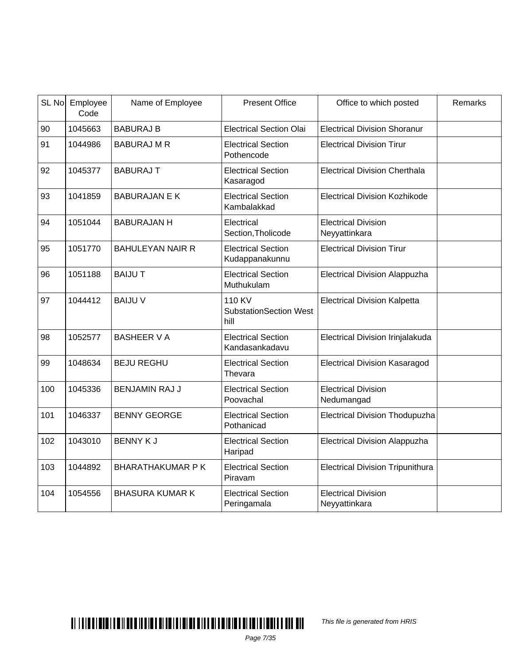| SL No | Employee<br>Code | Name of Employee        | <b>Present Office</b>                           | Office to which posted                      | Remarks |
|-------|------------------|-------------------------|-------------------------------------------------|---------------------------------------------|---------|
| 90    | 1045663          | <b>BABURAJ B</b>        | <b>Electrical Section Olai</b>                  | <b>Electrical Division Shoranur</b>         |         |
| 91    | 1044986          | <b>BABURAJ M R</b>      | <b>Electrical Section</b><br>Pothencode         | <b>Electrical Division Tirur</b>            |         |
| 92    | 1045377          | <b>BABURAJ T</b>        | <b>Electrical Section</b><br>Kasaragod          | <b>Electrical Division Cherthala</b>        |         |
| 93    | 1041859          | <b>BABURAJAN E K</b>    | <b>Electrical Section</b><br>Kambalakkad        | <b>Electrical Division Kozhikode</b>        |         |
| 94    | 1051044          | <b>BABURAJAN H</b>      | Electrical<br>Section, Tholicode                | <b>Electrical Division</b><br>Neyyattinkara |         |
| 95    | 1051770          | <b>BAHULEYAN NAIR R</b> | <b>Electrical Section</b><br>Kudappanakunnu     | <b>Electrical Division Tirur</b>            |         |
| 96    | 1051188          | <b>BAIJUT</b>           | <b>Electrical Section</b><br>Muthukulam         | <b>Electrical Division Alappuzha</b>        |         |
| 97    | 1044412          | <b>BAIJU V</b>          | 110 KV<br><b>SubstationSection West</b><br>hill | <b>Electrical Division Kalpetta</b>         |         |
| 98    | 1052577          | <b>BASHEER V A</b>      | <b>Electrical Section</b><br>Kandasankadavu     | Electrical Division Irinjalakuda            |         |
| 99    | 1048634          | <b>BEJU REGHU</b>       | <b>Electrical Section</b><br>Thevara            | <b>Electrical Division Kasaragod</b>        |         |
| 100   | 1045336          | <b>BENJAMIN RAJ J</b>   | <b>Electrical Section</b><br>Poovachal          | <b>Electrical Division</b><br>Nedumangad    |         |
| 101   | 1046337          | <b>BENNY GEORGE</b>     | <b>Electrical Section</b><br>Pothanicad         | <b>Electrical Division Thodupuzha</b>       |         |
| 102   | 1043010          | <b>BENNY KJ</b>         | <b>Electrical Section</b><br>Haripad            | <b>Electrical Division Alappuzha</b>        |         |
| 103   | 1044892          | <b>BHARATHAKUMAR PK</b> | <b>Electrical Section</b><br>Piravam            | <b>Electrical Division Tripunithura</b>     |         |
| 104   | 1054556          | <b>BHASURA KUMAR K</b>  | <b>Electrical Section</b><br>Peringamala        | <b>Electrical Division</b><br>Neyyattinkara |         |

This file is generated from HRIS

Page 7/35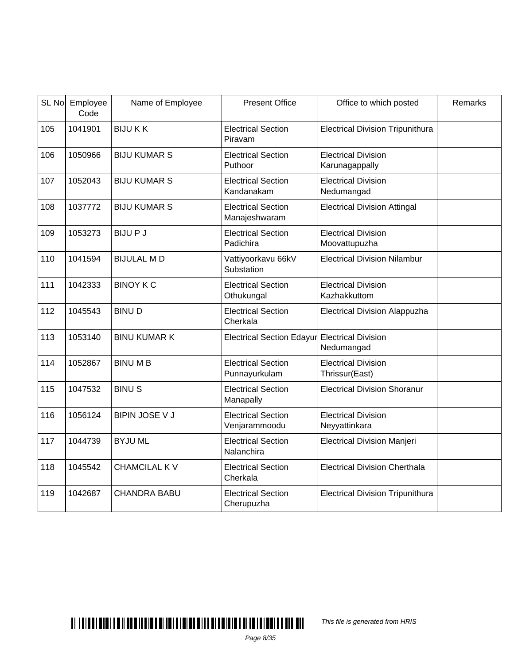|     | SL No Employee<br>Code | Name of Employee      | <b>Present Office</b>                         | Office to which posted                       | Remarks |
|-----|------------------------|-----------------------|-----------------------------------------------|----------------------------------------------|---------|
| 105 | 1041901                | <b>BIJUKK</b>         | <b>Electrical Section</b><br>Piravam          | <b>Electrical Division Tripunithura</b>      |         |
| 106 | 1050966                | <b>BIJU KUMAR S</b>   | <b>Electrical Section</b><br>Puthoor          | <b>Electrical Division</b><br>Karunagappally |         |
| 107 | 1052043                | <b>BIJU KUMAR S</b>   | <b>Electrical Section</b><br>Kandanakam       | <b>Electrical Division</b><br>Nedumangad     |         |
| 108 | 1037772                | <b>BIJU KUMAR S</b>   | <b>Electrical Section</b><br>Manajeshwaram    | <b>Electrical Division Attingal</b>          |         |
| 109 | 1053273                | <b>BIJUPJ</b>         | <b>Electrical Section</b><br>Padichira        | <b>Electrical Division</b><br>Moovattupuzha  |         |
| 110 | 1041594                | <b>BIJULAL MD</b>     | Vattiyoorkavu 66kV<br>Substation              | <b>Electrical Division Nilambur</b>          |         |
| 111 | 1042333                | <b>BINOY K C</b>      | <b>Electrical Section</b><br>Othukungal       | <b>Electrical Division</b><br>Kazhakkuttom   |         |
| 112 | 1045543                | <b>BINUD</b>          | <b>Electrical Section</b><br>Cherkala         | <b>Electrical Division Alappuzha</b>         |         |
| 113 | 1053140                | <b>BINU KUMAR K</b>   | Electrical Section Edayur Electrical Division | Nedumangad                                   |         |
| 114 | 1052867                | <b>BINUMB</b>         | <b>Electrical Section</b><br>Punnayurkulam    | <b>Electrical Division</b><br>Thrissur(East) |         |
| 115 | 1047532                | <b>BINUS</b>          | <b>Electrical Section</b><br>Manapally        | <b>Electrical Division Shoranur</b>          |         |
| 116 | 1056124                | <b>BIPIN JOSE V J</b> | <b>Electrical Section</b><br>Venjarammoodu    | <b>Electrical Division</b><br>Neyyattinkara  |         |
| 117 | 1044739                | <b>BYJUML</b>         | <b>Electrical Section</b><br>Nalanchira       | <b>Electrical Division Manjeri</b>           |         |
| 118 | 1045542                | <b>CHAMCILAL KV</b>   | <b>Electrical Section</b><br>Cherkala         | <b>Electrical Division Cherthala</b>         |         |
| 119 | 1042687                | <b>CHANDRA BABU</b>   | <b>Electrical Section</b><br>Cherupuzha       | <b>Electrical Division Tripunithura</b>      |         |

This file is generated from HRIS

Page 8/35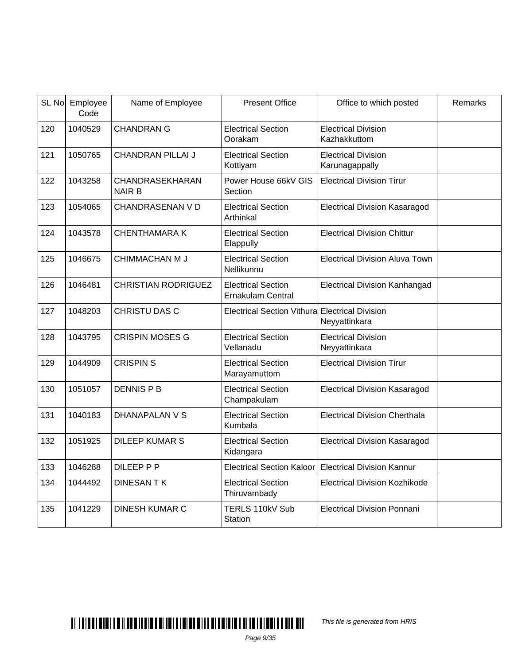|     | SL No Employee<br>Code | Name of Employee                 | <b>Present Office</b>                                 | Office to which posted                       | Remarks |
|-----|------------------------|----------------------------------|-------------------------------------------------------|----------------------------------------------|---------|
| 120 | 1040529                | <b>CHANDRAN G</b>                | <b>Electrical Section</b><br>Oorakam                  | <b>Electrical Division</b><br>Kazhakkuttom   |         |
| 121 | 1050765                | <b>CHANDRAN PILLAI J</b>         | <b>Electrical Section</b><br>Kottiyam                 | <b>Electrical Division</b><br>Karunagappally |         |
| 122 | 1043258                | CHANDRASEKHARAN<br><b>NAIR B</b> | Power House 66kV GIS<br>Section                       | <b>Electrical Division Tirur</b>             |         |
| 123 | 1054065                | <b>CHANDRASENAN V D</b>          | <b>Electrical Section</b><br>Arthinkal                | <b>Electrical Division Kasaragod</b>         |         |
| 124 | 1043578                | <b>CHENTHAMARAK</b>              | <b>Electrical Section</b><br>Elappully                | <b>Electrical Division Chittur</b>           |         |
| 125 | 1046675                | <b>CHIMMACHAN M J</b>            | <b>Electrical Section</b><br>Nellikunnu               | <b>Electrical Division Aluva Town</b>        |         |
| 126 | 1046481                | <b>CHRISTIAN RODRIGUEZ</b>       | <b>Electrical Section</b><br><b>Ernakulam Central</b> | <b>Electrical Division Kanhangad</b>         |         |
| 127 | 1048203                | <b>CHRISTU DAS C</b>             | Electrical Section Vithural Electrical Division       | Neyyattinkara                                |         |
| 128 | 1043795                | <b>CRISPIN MOSES G</b>           | <b>Electrical Section</b><br>Vellanadu                | <b>Electrical Division</b><br>Neyyattinkara  |         |
| 129 | 1044909                | <b>CRISPINS</b>                  | <b>Electrical Section</b><br>Marayamuttom             | <b>Electrical Division Tirur</b>             |         |
| 130 | 1051057                | <b>DENNIS P B</b>                | <b>Electrical Section</b><br>Champakulam              | <b>Electrical Division Kasaragod</b>         |         |
| 131 | 1040183                | <b>DHANAPALAN V S</b>            | <b>Electrical Section</b><br>Kumbala                  | <b>Electrical Division Cherthala</b>         |         |
| 132 | 1051925                | <b>DILEEP KUMAR S</b>            | <b>Electrical Section</b><br>Kidangara                | <b>Electrical Division Kasaragod</b>         |         |
| 133 | 1046288                | DILEEP P P                       | <b>Electrical Section Kaloor</b>                      | <b>Electrical Division Kannur</b>            |         |
| 134 | 1044492                | <b>DINESAN TK</b>                | <b>Electrical Section</b><br>Thiruvambady             | <b>Electrical Division Kozhikode</b>         |         |
| 135 | 1041229                | <b>DINESH KUMAR C</b>            | TERLS 110kV Sub<br><b>Station</b>                     | <b>Electrical Division Ponnani</b>           |         |

This file is generated from HRIS

Page 9/35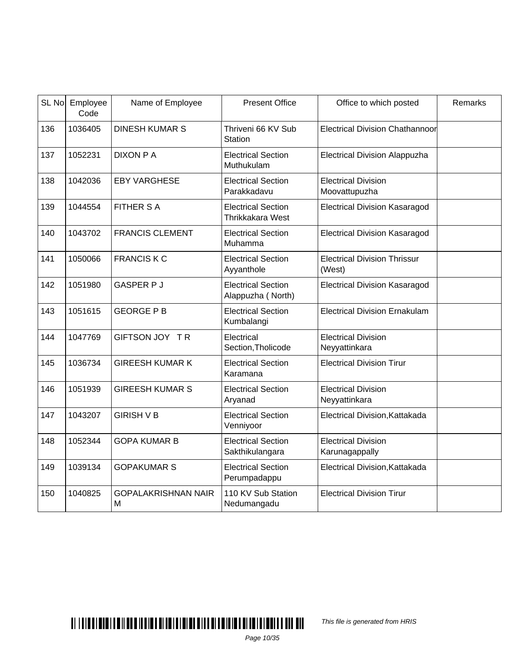| SL <sub>No</sub> | Employee<br>Code | Name of Employee                | <b>Present Office</b>                                | Office to which posted                        | Remarks |
|------------------|------------------|---------------------------------|------------------------------------------------------|-----------------------------------------------|---------|
| 136              | 1036405          | <b>DINESH KUMAR S</b>           | Thriveni 66 KV Sub<br><b>Station</b>                 | Electrical Division Chathannoor               |         |
| 137              | 1052231          | <b>DIXON P A</b>                | <b>Electrical Section</b><br>Muthukulam              | <b>Electrical Division Alappuzha</b>          |         |
| 138              | 1042036          | <b>EBY VARGHESE</b>             | <b>Electrical Section</b><br>Parakkadavu             | <b>Electrical Division</b><br>Moovattupuzha   |         |
| 139              | 1044554          | <b>FITHER S A</b>               | <b>Electrical Section</b><br><b>Thrikkakara West</b> | <b>Electrical Division Kasaragod</b>          |         |
| 140              | 1043702          | <b>FRANCIS CLEMENT</b>          | <b>Electrical Section</b><br>Muhamma                 | <b>Electrical Division Kasaragod</b>          |         |
| 141              | 1050066          | <b>FRANCIS K C</b>              | <b>Electrical Section</b><br>Ayyanthole              | <b>Electrical Division Thrissur</b><br>(West) |         |
| 142              | 1051980          | <b>GASPER P J</b>               | <b>Electrical Section</b><br>Alappuzha (North)       | <b>Electrical Division Kasaragod</b>          |         |
| 143              | 1051615          | <b>GEORGE P B</b>               | <b>Electrical Section</b><br>Kumbalangi              | <b>Electrical Division Ernakulam</b>          |         |
| 144              | 1047769          | GIFTSON JOY TR                  | Electrical<br>Section, Tholicode                     | <b>Electrical Division</b><br>Neyyattinkara   |         |
| 145              | 1036734          | <b>GIREESH KUMAR K</b>          | <b>Electrical Section</b><br>Karamana                | <b>Electrical Division Tirur</b>              |         |
| 146              | 1051939          | <b>GIREESH KUMAR S</b>          | <b>Electrical Section</b><br>Aryanad                 | <b>Electrical Division</b><br>Neyyattinkara   |         |
| 147              | 1043207          | <b>GIRISH V B</b>               | <b>Electrical Section</b><br>Venniyoor               | Electrical Division, Kattakada                |         |
| 148              | 1052344          | <b>GOPA KUMAR B</b>             | <b>Electrical Section</b><br>Sakthikulangara         | <b>Electrical Division</b><br>Karunagappally  |         |
| 149              | 1039134          | <b>GOPAKUMAR S</b>              | <b>Electrical Section</b><br>Perumpadappu            | Electrical Division, Kattakada                |         |
| 150              | 1040825          | <b>GOPALAKRISHNAN NAIR</b><br>M | 110 KV Sub Station<br>Nedumangadu                    | <b>Electrical Division Tirur</b>              |         |

This file is generated from HRIS

Page 10/35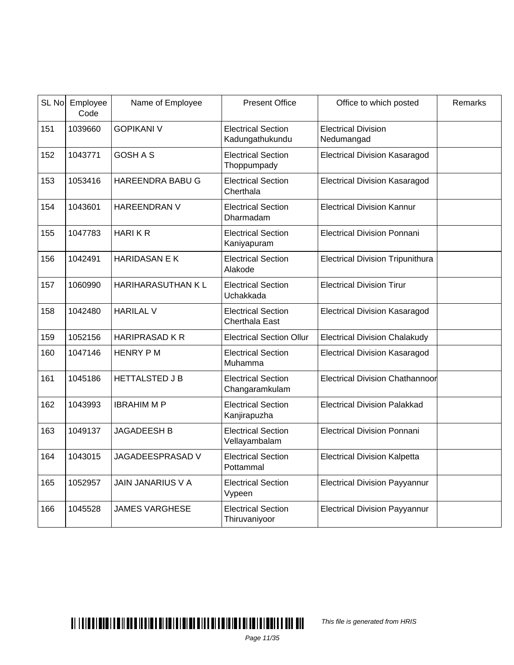| SL No | Employee<br>Code | Name of Employee         | <b>Present Office</b>                        | Office to which posted                   | Remarks |
|-------|------------------|--------------------------|----------------------------------------------|------------------------------------------|---------|
| 151   | 1039660          | <b>GOPIKANI V</b>        | <b>Electrical Section</b><br>Kadungathukundu | <b>Electrical Division</b><br>Nedumangad |         |
| 152   | 1043771          | <b>GOSH A S</b>          | <b>Electrical Section</b><br>Thoppumpady     | <b>Electrical Division Kasaragod</b>     |         |
| 153   | 1053416          | HAREENDRA BABU G         | <b>Electrical Section</b><br>Cherthala       | <b>Electrical Division Kasaragod</b>     |         |
| 154   | 1043601          | <b>HAREENDRAN V</b>      | <b>Electrical Section</b><br>Dharmadam       | <b>Electrical Division Kannur</b>        |         |
| 155   | 1047783          | <b>HARIKR</b>            | <b>Electrical Section</b><br>Kaniyapuram     | <b>Electrical Division Ponnani</b>       |         |
| 156   | 1042491          | <b>HARIDASAN E K</b>     | <b>Electrical Section</b><br>Alakode         | <b>Electrical Division Tripunithura</b>  |         |
| 157   | 1060990          | HARIHARASUTHAN KL        | <b>Electrical Section</b><br>Uchakkada       | <b>Electrical Division Tirur</b>         |         |
| 158   | 1042480          | <b>HARILAL V</b>         | <b>Electrical Section</b><br>Cherthala East  | <b>Electrical Division Kasaragod</b>     |         |
| 159   | 1052156          | <b>HARIPRASAD K R</b>    | <b>Electrical Section Ollur</b>              | <b>Electrical Division Chalakudy</b>     |         |
| 160   | 1047146          | <b>HENRY PM</b>          | <b>Electrical Section</b><br>Muhamma         | <b>Electrical Division Kasaragod</b>     |         |
| 161   | 1045186          | <b>HETTALSTED JB</b>     | <b>Electrical Section</b><br>Changaramkulam  | <b>Electrical Division Chathannoor</b>   |         |
| 162   | 1043993          | <b>IBRAHIM M P</b>       | <b>Electrical Section</b><br>Kanjirapuzha    | <b>Electrical Division Palakkad</b>      |         |
| 163   | 1049137          | <b>JAGADEESH B</b>       | <b>Electrical Section</b><br>Vellayambalam   | <b>Electrical Division Ponnani</b>       |         |
| 164   | 1043015          | JAGADEESPRASAD V         | <b>Electrical Section</b><br>Pottammal       | <b>Electrical Division Kalpetta</b>      |         |
| 165   | 1052957          | <b>JAIN JANARIUS V A</b> | <b>Electrical Section</b><br>Vypeen          | <b>Electrical Division Payyannur</b>     |         |
| 166   | 1045528          | <b>JAMES VARGHESE</b>    | <b>Electrical Section</b><br>Thiruvaniyoor   | <b>Electrical Division Payyannur</b>     |         |

This file is generated from HRIS

Page 11/35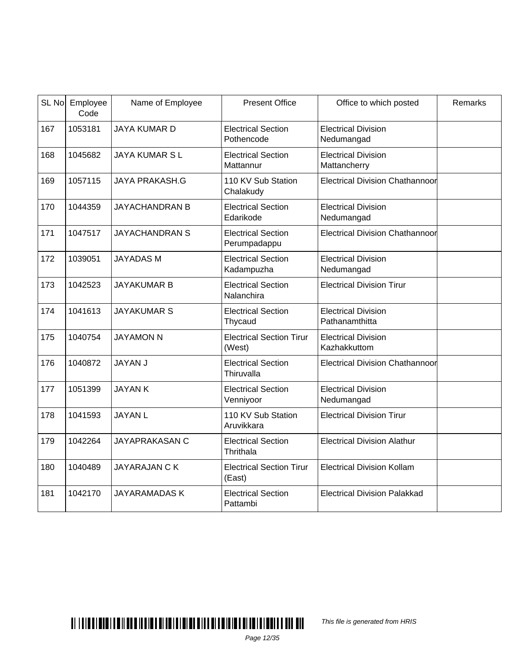|     | SL No Employee<br>Code | Name of Employee      | <b>Present Office</b>                     | Office to which posted                       | Remarks |
|-----|------------------------|-----------------------|-------------------------------------------|----------------------------------------------|---------|
| 167 | 1053181                | <b>JAYA KUMAR D</b>   | <b>Electrical Section</b><br>Pothencode   | <b>Electrical Division</b><br>Nedumangad     |         |
| 168 | 1045682                | <b>JAYA KUMAR SL</b>  | <b>Electrical Section</b><br>Mattannur    | <b>Electrical Division</b><br>Mattancherry   |         |
| 169 | 1057115                | <b>JAYA PRAKASH.G</b> | 110 KV Sub Station<br>Chalakudy           | <b>Electrical Division Chathannoor</b>       |         |
| 170 | 1044359                | <b>JAYACHANDRAN B</b> | <b>Electrical Section</b><br>Edarikode    | <b>Electrical Division</b><br>Nedumangad     |         |
| 171 | 1047517                | <b>JAYACHANDRAN S</b> | <b>Electrical Section</b><br>Perumpadappu | <b>Electrical Division Chathannoor</b>       |         |
| 172 | 1039051                | <b>JAYADAS M</b>      | <b>Electrical Section</b><br>Kadampuzha   | <b>Electrical Division</b><br>Nedumangad     |         |
| 173 | 1042523                | <b>JAYAKUMAR B</b>    | <b>Electrical Section</b><br>Nalanchira   | <b>Electrical Division Tirur</b>             |         |
| 174 | 1041613                | <b>JAYAKUMAR S</b>    | <b>Electrical Section</b><br>Thycaud      | <b>Electrical Division</b><br>Pathanamthitta |         |
| 175 | 1040754                | <b>JAYAMON N</b>      | <b>Electrical Section Tirur</b><br>(West) | <b>Electrical Division</b><br>Kazhakkuttom   |         |
| 176 | 1040872                | <b>JAYAN J</b>        | <b>Electrical Section</b><br>Thiruvalla   | <b>Electrical Division Chathannoor</b>       |         |
| 177 | 1051399                | <b>JAYANK</b>         | <b>Electrical Section</b><br>Venniyoor    | <b>Electrical Division</b><br>Nedumangad     |         |
| 178 | 1041593                | <b>JAYAN L</b>        | 110 KV Sub Station<br>Aruvikkara          | <b>Electrical Division Tirur</b>             |         |
| 179 | 1042264                | <b>JAYAPRAKASAN C</b> | <b>Electrical Section</b><br>Thrithala    | <b>Electrical Division Alathur</b>           |         |
| 180 | 1040489                | <b>JAYARAJAN CK</b>   | <b>Electrical Section Tirur</b><br>(East) | <b>Electrical Division Kollam</b>            |         |
| 181 | 1042170                | <b>JAYARAMADAS K</b>  | <b>Electrical Section</b><br>Pattambi     | <b>Electrical Division Palakkad</b>          |         |

This file is generated from HRIS

Page 12/35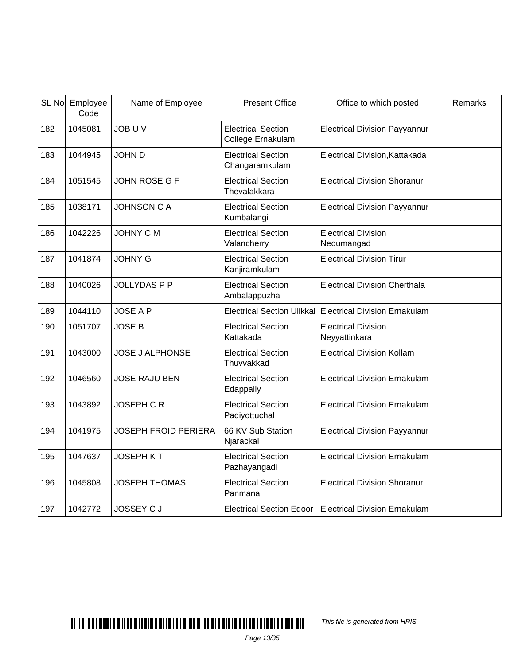| SL No | Employee<br>Code | Name of Employee            | <b>Present Office</b>                          | Office to which posted                      | Remarks |
|-------|------------------|-----------------------------|------------------------------------------------|---------------------------------------------|---------|
| 182   | 1045081          | <b>JOB UV</b>               | <b>Electrical Section</b><br>College Ernakulam | <b>Electrical Division Payyannur</b>        |         |
| 183   | 1044945          | <b>JOHN D</b>               | <b>Electrical Section</b><br>Changaramkulam    | Electrical Division, Kattakada              |         |
| 184   | 1051545          | JOHN ROSE G F               | <b>Electrical Section</b><br>Thevalakkara      | <b>Electrical Division Shoranur</b>         |         |
| 185   | 1038171          | <b>JOHNSON C A</b>          | <b>Electrical Section</b><br>Kumbalangi        | <b>Electrical Division Payyannur</b>        |         |
| 186   | 1042226          | <b>JOHNY C M</b>            | <b>Electrical Section</b><br>Valancherry       | <b>Electrical Division</b><br>Nedumangad    |         |
| 187   | 1041874          | <b>JOHNY G</b>              | <b>Electrical Section</b><br>Kanjiramkulam     | <b>Electrical Division Tirur</b>            |         |
| 188   | 1040026          | <b>JOLLYDASPP</b>           | <b>Electrical Section</b><br>Ambalappuzha      | <b>Electrical Division Cherthala</b>        |         |
| 189   | 1044110          | <b>JOSE A P</b>             | <b>Electrical Section Ulikkal</b>              | <b>Electrical Division Ernakulam</b>        |         |
| 190   | 1051707          | <b>JOSE B</b>               | <b>Electrical Section</b><br>Kattakada         | <b>Electrical Division</b><br>Neyyattinkara |         |
| 191   | 1043000          | <b>JOSE J ALPHONSE</b>      | <b>Electrical Section</b><br>Thuvvakkad        | <b>Electrical Division Kollam</b>           |         |
| 192   | 1046560          | <b>JOSE RAJU BEN</b>        | <b>Electrical Section</b><br>Edappally         | <b>Electrical Division Ernakulam</b>        |         |
| 193   | 1043892          | <b>JOSEPH C R</b>           | <b>Electrical Section</b><br>Padiyottuchal     | <b>Electrical Division Ernakulam</b>        |         |
| 194   | 1041975          | <b>JOSEPH FROID PERIERA</b> | 66 KV Sub Station<br>Njarackal                 | <b>Electrical Division Payyannur</b>        |         |
| 195   | 1047637          | <b>JOSEPH KT</b>            | <b>Electrical Section</b><br>Pazhayangadi      | <b>Electrical Division Ernakulam</b>        |         |
| 196   | 1045808          | <b>JOSEPH THOMAS</b>        | <b>Electrical Section</b><br>Panmana           | <b>Electrical Division Shoranur</b>         |         |
| 197   | 1042772          | <b>JOSSEY CJ</b>            | <b>Electrical Section Edoor</b>                | <b>Electrical Division Ernakulam</b>        |         |

This file is generated from HRIS

Page 13/35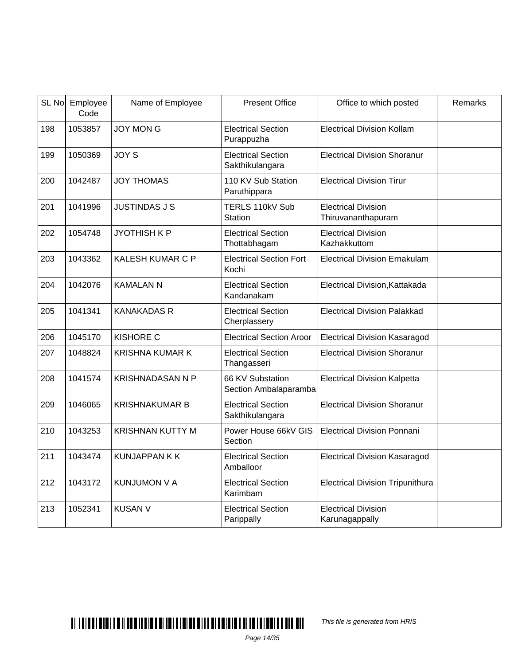|     | SL No Employee<br>Code | Name of Employee        | <b>Present Office</b>                        | Office to which posted                           | Remarks |
|-----|------------------------|-------------------------|----------------------------------------------|--------------------------------------------------|---------|
| 198 | 1053857                | <b>JOY MON G</b>        | <b>Electrical Section</b><br>Purappuzha      | <b>Electrical Division Kollam</b>                |         |
| 199 | 1050369                | <b>JOY S</b>            | <b>Electrical Section</b><br>Sakthikulangara | <b>Electrical Division Shoranur</b>              |         |
| 200 | 1042487                | <b>JOY THOMAS</b>       | 110 KV Sub Station<br>Paruthippara           | <b>Electrical Division Tirur</b>                 |         |
| 201 | 1041996                | <b>JUSTINDAS J S</b>    | TERLS 110kV Sub<br><b>Station</b>            | <b>Electrical Division</b><br>Thiruvananthapuram |         |
| 202 | 1054748                | <b>JYOTHISH K P</b>     | <b>Electrical Section</b><br>Thottabhagam    | <b>Electrical Division</b><br>Kazhakkuttom       |         |
| 203 | 1043362                | <b>KALESH KUMAR C P</b> | <b>Electrical Section Fort</b><br>Kochi      | <b>Electrical Division Ernakulam</b>             |         |
| 204 | 1042076                | <b>KAMALAN N</b>        | <b>Electrical Section</b><br>Kandanakam      | Electrical Division, Kattakada                   |         |
| 205 | 1041341                | <b>KANAKADAS R</b>      | <b>Electrical Section</b><br>Cherplassery    | <b>Electrical Division Palakkad</b>              |         |
| 206 | 1045170                | <b>KISHORE C</b>        | <b>Electrical Section Aroor</b>              | <b>Electrical Division Kasaragod</b>             |         |
| 207 | 1048824                | <b>KRISHNA KUMAR K</b>  | <b>Electrical Section</b><br>Thangasseri     | <b>Electrical Division Shoranur</b>              |         |
| 208 | 1041574                | <b>KRISHNADASAN N P</b> | 66 KV Substation<br>Section Ambalaparamba    | <b>Electrical Division Kalpetta</b>              |         |
| 209 | 1046065                | <b>KRISHNAKUMAR B</b>   | <b>Electrical Section</b><br>Sakthikulangara | <b>Electrical Division Shoranur</b>              |         |
| 210 | 1043253                | <b>KRISHNAN KUTTY M</b> | Power House 66kV GIS<br>Section              | <b>Electrical Division Ponnani</b>               |         |
| 211 | 1043474                | <b>KUNJAPPAN K K</b>    | <b>Electrical Section</b><br>Amballoor       | <b>Electrical Division Kasaragod</b>             |         |
| 212 | 1043172                | <b>KUNJUMON V A</b>     | <b>Electrical Section</b><br>Karimbam        | <b>Electrical Division Tripunithura</b>          |         |
| 213 | 1052341                | <b>KUSAN V</b>          | <b>Electrical Section</b><br>Parippally      | <b>Electrical Division</b><br>Karunagappally     |         |

This file is generated from HRIS

Page 14/35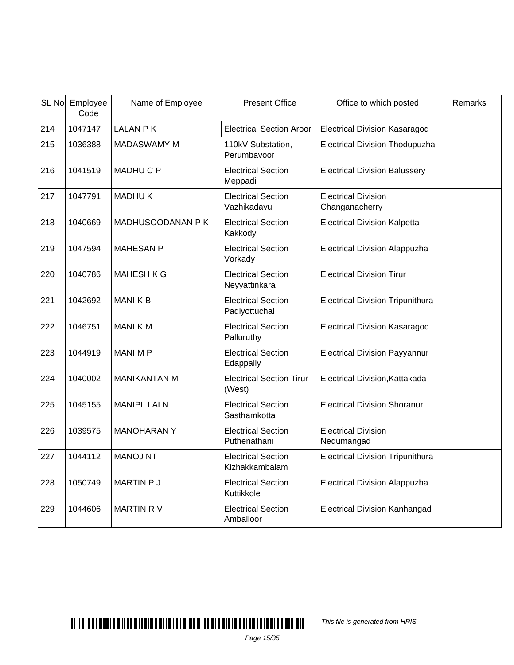|     | SL No Employee<br>Code | Name of Employee    | <b>Present Office</b>                       | Office to which posted                       | Remarks |
|-----|------------------------|---------------------|---------------------------------------------|----------------------------------------------|---------|
| 214 | 1047147                | <b>LALAN PK</b>     | <b>Electrical Section Aroor</b>             | <b>Electrical Division Kasaragod</b>         |         |
| 215 | 1036388                | <b>MADASWAMY M</b>  | 110kV Substation,<br>Perumbayoor            | <b>Electrical Division Thodupuzha</b>        |         |
| 216 | 1041519                | <b>MADHUCP</b>      | <b>Electrical Section</b><br>Meppadi        | <b>Electrical Division Balussery</b>         |         |
| 217 | 1047791                | <b>MADHUK</b>       | <b>Electrical Section</b><br>Vazhikadavu    | <b>Electrical Division</b><br>Changanacherry |         |
| 218 | 1040669                | MADHUSOODANAN P K   | <b>Electrical Section</b><br>Kakkody        | <b>Electrical Division Kalpetta</b>          |         |
| 219 | 1047594                | <b>MAHESAN P</b>    | <b>Electrical Section</b><br>Vorkady        | <b>Electrical Division Alappuzha</b>         |         |
| 220 | 1040786                | <b>MAHESH K G</b>   | <b>Electrical Section</b><br>Neyyattinkara  | <b>Electrical Division Tirur</b>             |         |
| 221 | 1042692                | <b>MANIKB</b>       | <b>Electrical Section</b><br>Padiyottuchal  | <b>Electrical Division Tripunithura</b>      |         |
| 222 | 1046751                | <b>MANIKM</b>       | <b>Electrical Section</b><br>Palluruthy     | <b>Electrical Division Kasaragod</b>         |         |
| 223 | 1044919                | <b>MANIMP</b>       | <b>Electrical Section</b><br>Edappally      | <b>Electrical Division Payyannur</b>         |         |
| 224 | 1040002                | <b>MANIKANTAN M</b> | <b>Electrical Section Tirur</b><br>(West)   | Electrical Division, Kattakada               |         |
| 225 | 1045155                | <b>MANIPILLAI N</b> | <b>Electrical Section</b><br>Sasthamkotta   | <b>Electrical Division Shoranur</b>          |         |
| 226 | 1039575                | <b>MANOHARANY</b>   | <b>Electrical Section</b><br>Puthenathani   | <b>Electrical Division</b><br>Nedumangad     |         |
| 227 | 1044112                | <b>MANOJ NT</b>     | <b>Electrical Section</b><br>Kizhakkambalam | <b>Electrical Division Tripunithura</b>      |         |
| 228 | 1050749                | MARTIN P J          | <b>Electrical Section</b><br>Kuttikkole     | <b>Electrical Division Alappuzha</b>         |         |
| 229 | 1044606                | <b>MARTIN RV</b>    | <b>Electrical Section</b><br>Amballoor      | <b>Electrical Division Kanhangad</b>         |         |

This file is generated from HRIS

Page 15/35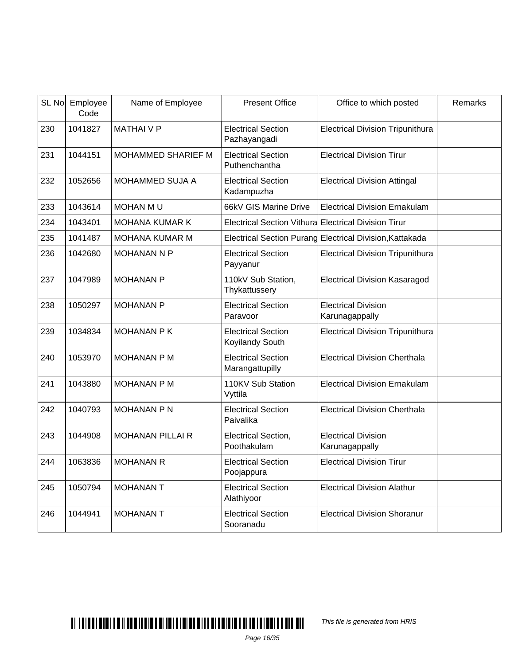| SL No | Employee<br>Code | Name of Employee        | <b>Present Office</b>                                       | Office to which posted                                   | Remarks |
|-------|------------------|-------------------------|-------------------------------------------------------------|----------------------------------------------------------|---------|
| 230   | 1041827          | <b>MATHAIVP</b>         | <b>Electrical Section</b><br>Pazhayangadi                   | <b>Electrical Division Tripunithura</b>                  |         |
| 231   | 1044151          | MOHAMMED SHARIEF M      | <b>Electrical Section</b><br>Puthenchantha                  | <b>Electrical Division Tirur</b>                         |         |
| 232   | 1052656          | MOHAMMED SUJA A         | <b>Electrical Section</b><br>Kadampuzha                     | <b>Electrical Division Attingal</b>                      |         |
| 233   | 1043614          | MOHAN MU                | 66kV GIS Marine Drive                                       | <b>Electrical Division Ernakulam</b>                     |         |
| 234   | 1043401          | <b>MOHANA KUMAR K</b>   | <b>Electrical Section Vithura Electrical Division Tirur</b> |                                                          |         |
| 235   | 1041487          | MOHANA KUMAR M          |                                                             | Electrical Section Purang Electrical Division, Kattakada |         |
| 236   | 1042680          | <b>MOHANAN N P</b>      | <b>Electrical Section</b><br>Payyanur                       | <b>Electrical Division Tripunithura</b>                  |         |
| 237   | 1047989          | <b>MOHANAN P</b>        | 110kV Sub Station,<br>Thykattussery                         | <b>Electrical Division Kasaragod</b>                     |         |
| 238   | 1050297          | <b>MOHANAN P</b>        | <b>Electrical Section</b><br>Paravoor                       | <b>Electrical Division</b><br>Karunagappally             |         |
| 239   | 1034834          | <b>MOHANAN P K</b>      | <b>Electrical Section</b><br>Koyilandy South                | <b>Electrical Division Tripunithura</b>                  |         |
| 240   | 1053970          | <b>MOHANAN P M</b>      | <b>Electrical Section</b><br>Marangattupilly                | <b>Electrical Division Cherthala</b>                     |         |
| 241   | 1043880          | <b>MOHANAN P M</b>      | 110KV Sub Station<br>Vyttila                                | <b>Electrical Division Ernakulam</b>                     |         |
| 242   | 1040793          | <b>MOHANAN P N</b>      | <b>Electrical Section</b><br>Paivalika                      | <b>Electrical Division Cherthala</b>                     |         |
| 243   | 1044908          | <b>MOHANAN PILLAI R</b> | Electrical Section,<br>Poothakulam                          | <b>Electrical Division</b><br>Karunagappally             |         |
| 244   | 1063836          | <b>MOHANAN R</b>        | <b>Electrical Section</b><br>Poojappura                     | <b>Electrical Division Tirur</b>                         |         |
| 245   | 1050794          | <b>MOHANAN T</b>        | <b>Electrical Section</b><br>Alathiyoor                     | <b>Electrical Division Alathur</b>                       |         |
| 246   | 1044941          | <b>MOHANAN T</b>        | <b>Electrical Section</b><br>Sooranadu                      | <b>Electrical Division Shoranur</b>                      |         |

# $\blacksquare$

This file is generated from HRIS

Page 16/35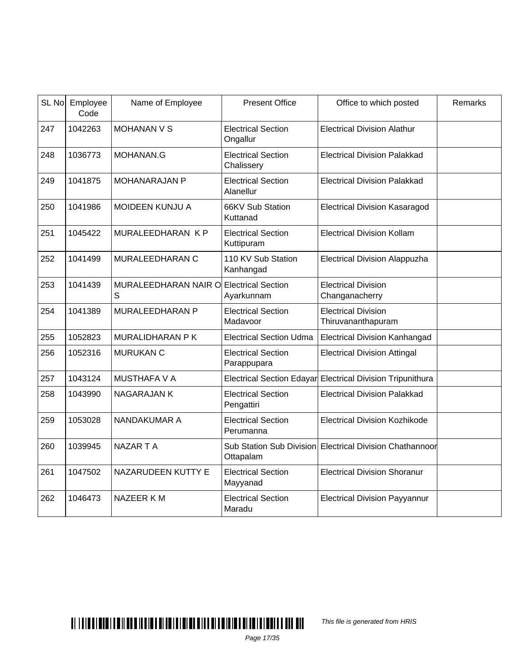| SL <sub>No</sub> | Employee<br>Code | Name of Employee                             | <b>Present Office</b>                        | Office to which posted                                     | Remarks |
|------------------|------------------|----------------------------------------------|----------------------------------------------|------------------------------------------------------------|---------|
| 247              | 1042263          | <b>MOHANAN V S</b>                           | <b>Electrical Section</b><br>Ongallur        | <b>Electrical Division Alathur</b>                         |         |
| 248              | 1036773          | MOHANAN.G                                    | <b>Electrical Section</b><br>Chalissery      | <b>Electrical Division Palakkad</b>                        |         |
| 249              | 1041875          | <b>MOHANARAJAN P</b>                         | <b>Electrical Section</b><br>Alanellur       | <b>Electrical Division Palakkad</b>                        |         |
| 250              | 1041986          | MOIDEEN KUNJU A                              | 66KV Sub Station<br>Kuttanad                 | <b>Electrical Division Kasaragod</b>                       |         |
| 251              | 1045422          | MURALEEDHARAN K P                            | <b>Electrical Section</b><br>Kuttipuram      | <b>Electrical Division Kollam</b>                          |         |
| 252              | 1041499          | MURALEEDHARAN C                              | 110 KV Sub Station<br>Kanhangad              | <b>Electrical Division Alappuzha</b>                       |         |
| 253              | 1041439          | MURALEEDHARAN NAIR O Electrical Section<br>S | Ayarkunnam                                   | <b>Electrical Division</b><br>Changanacherry               |         |
| 254              | 1041389          | MURALEEDHARAN P                              | <b>Electrical Section</b><br>Madavoor        | <b>Electrical Division</b><br>Thiruvananthapuram           |         |
| 255              | 1052823          | MURALIDHARAN P K                             | <b>Electrical Section Udma</b>               | <b>Electrical Division Kanhangad</b>                       |         |
| 256              | 1052316          | <b>MURUKAN C</b>                             | <b>Electrical Section</b><br>Parappupara     | <b>Electrical Division Attingal</b>                        |         |
| 257              | 1043124          | <b>MUSTHAFA V A</b>                          |                                              | Electrical Section Edayar Electrical Division Tripunithura |         |
| 258              | 1043990          | <b>NAGARAJAN K</b>                           | <b>Electrical Section</b><br>Pengattiri      | <b>Electrical Division Palakkad</b>                        |         |
| 259              | 1053028          | NANDAKUMAR A                                 | <b>Electrical Section</b><br>Perumanna       | <b>Electrical Division Kozhikode</b>                       |         |
| 260              | 1039945          | <b>NAZAR T A</b>                             | <b>Sub Station Sub Division</b><br>Ottapalam | Electrical Division Chathannoor                            |         |
| 261              | 1047502          | NAZARUDEEN KUTTY E                           | <b>Electrical Section</b><br>Mayyanad        | <b>Electrical Division Shoranur</b>                        |         |
| 262              | 1046473          | NAZEER K M                                   | <b>Electrical Section</b><br>Maradu          | <b>Electrical Division Payyannur</b>                       |         |

This file is generated from HRIS

Page 17/35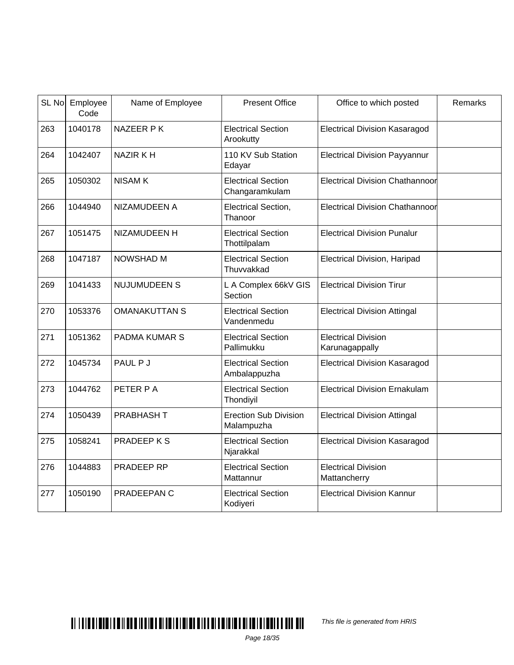| SL <sub>No</sub> | Employee<br>Code | Name of Employee     | <b>Present Office</b>                       | Office to which posted                       | Remarks |
|------------------|------------------|----------------------|---------------------------------------------|----------------------------------------------|---------|
| 263              | 1040178          | NAZEER PK            | <b>Electrical Section</b><br>Arookutty      | <b>Electrical Division Kasaragod</b>         |         |
| 264              | 1042407          | <b>NAZIR KH</b>      | 110 KV Sub Station<br>Edayar                | <b>Electrical Division Payyannur</b>         |         |
| 265              | 1050302          | <b>NISAMK</b>        | <b>Electrical Section</b><br>Changaramkulam | <b>Electrical Division Chathannoor</b>       |         |
| 266              | 1044940          | NIZAMUDEEN A         | Electrical Section,<br>Thanoor              | <b>Electrical Division Chathannoor</b>       |         |
| 267              | 1051475          | NIZAMUDEEN H         | <b>Electrical Section</b><br>Thottilpalam   | <b>Electrical Division Punalur</b>           |         |
| 268              | 1047187          | <b>NOWSHAD M</b>     | <b>Electrical Section</b><br>Thuvvakkad     | Electrical Division, Haripad                 |         |
| 269              | 1041433          | NUJUMUDEEN S         | L A Complex 66kV GIS<br>Section             | <b>Electrical Division Tirur</b>             |         |
| 270              | 1053376          | <b>OMANAKUTTAN S</b> | <b>Electrical Section</b><br>Vandenmedu     | <b>Electrical Division Attingal</b>          |         |
| 271              | 1051362          | <b>PADMA KUMAR S</b> | <b>Electrical Section</b><br>Pallimukku     | <b>Electrical Division</b><br>Karunagappally |         |
| 272              | 1045734          | PAUL P J             | <b>Electrical Section</b><br>Ambalappuzha   | <b>Electrical Division Kasaragod</b>         |         |
| 273              | 1044762          | PETER P A            | <b>Electrical Section</b><br>Thondiyil      | <b>Electrical Division Ernakulam</b>         |         |
| 274              | 1050439          | PRABHASH T           | <b>Erection Sub Division</b><br>Malampuzha  | <b>Electrical Division Attingal</b>          |         |
| 275              | 1058241          | <b>PRADEEPKS</b>     | <b>Electrical Section</b><br>Njarakkal      | <b>Electrical Division Kasaragod</b>         |         |
| 276              | 1044883          | PRADEEP RP           | <b>Electrical Section</b><br>Mattannur      | <b>Electrical Division</b><br>Mattancherry   |         |
| 277              | 1050190          | PRADEEPAN C          | <b>Electrical Section</b><br>Kodiyeri       | <b>Electrical Division Kannur</b>            |         |



This file is generated from HRIS

Page 18/35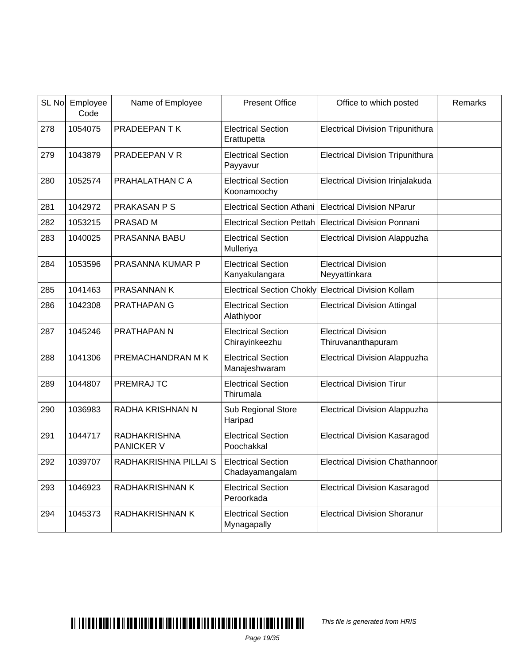|     | SL No Employee<br>Code | Name of Employee                         | <b>Present Office</b>                        | Office to which posted                           | Remarks |
|-----|------------------------|------------------------------------------|----------------------------------------------|--------------------------------------------------|---------|
| 278 | 1054075                | PRADEEPAN TK                             | <b>Electrical Section</b><br>Erattupetta     | <b>Electrical Division Tripunithura</b>          |         |
| 279 | 1043879                | PRADEEPAN V R                            | <b>Electrical Section</b><br>Payyavur        | <b>Electrical Division Tripunithura</b>          |         |
| 280 | 1052574                | PRAHALATHAN C A                          | <b>Electrical Section</b><br>Koonamoochy     | Electrical Division Irinjalakuda                 |         |
| 281 | 1042972                | PRAKASAN P S                             | <b>Electrical Section Athani</b>             | <b>Electrical Division NParur</b>                |         |
| 282 | 1053215                | PRASAD M                                 | <b>Electrical Section Pettah</b>             | <b>Electrical Division Ponnani</b>               |         |
| 283 | 1040025                | PRASANNA BABU                            | <b>Electrical Section</b><br>Mulleriya       | <b>Electrical Division Alappuzha</b>             |         |
| 284 | 1053596                | PRASANNA KUMAR P                         | <b>Electrical Section</b><br>Kanyakulangara  | <b>Electrical Division</b><br>Neyyattinkara      |         |
| 285 | 1041463                | <b>PRASANNAN K</b>                       | <b>Electrical Section Chokly</b>             | <b>Electrical Division Kollam</b>                |         |
| 286 | 1042308                | PRATHAPAN G                              | <b>Electrical Section</b><br>Alathiyoor      | <b>Electrical Division Attingal</b>              |         |
| 287 | 1045246                | PRATHAPAN N                              | <b>Electrical Section</b><br>Chirayinkeezhu  | <b>Electrical Division</b><br>Thiruvananthapuram |         |
| 288 | 1041306                | PREMACHANDRAN M K                        | <b>Electrical Section</b><br>Manajeshwaram   | <b>Electrical Division Alappuzha</b>             |         |
| 289 | 1044807                | PREMRAJ TC                               | <b>Electrical Section</b><br>Thirumala       | <b>Electrical Division Tirur</b>                 |         |
| 290 | 1036983                | RADHA KRISHNAN N                         | Sub Regional Store<br>Haripad                | <b>Electrical Division Alappuzha</b>             |         |
| 291 | 1044717                | <b>RADHAKRISHNA</b><br><b>PANICKER V</b> | <b>Electrical Section</b><br>Poochakkal      | <b>Electrical Division Kasaragod</b>             |         |
| 292 | 1039707                | RADHAKRISHNA PILLAI S                    | <b>Electrical Section</b><br>Chadayamangalam | Electrical Division Chathannoor                  |         |
| 293 | 1046923                | RADHAKRISHNAN K                          | <b>Electrical Section</b><br>Peroorkada      | <b>Electrical Division Kasaragod</b>             |         |
| 294 | 1045373                | RADHAKRISHNAN K                          | <b>Electrical Section</b><br>Mynagapally     | <b>Electrical Division Shoranur</b>              |         |

This file is generated from HRIS

Page 19/35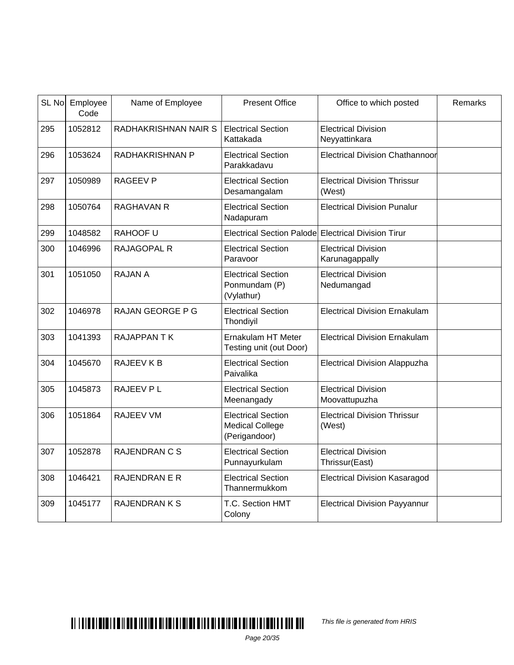| SL No | Employee<br>Code | Name of Employee     | <b>Present Office</b>                                                | Office to which posted                        | Remarks |
|-------|------------------|----------------------|----------------------------------------------------------------------|-----------------------------------------------|---------|
| 295   | 1052812          | RADHAKRISHNAN NAIR S | <b>Electrical Section</b><br>Kattakada                               | <b>Electrical Division</b><br>Neyyattinkara   |         |
| 296   | 1053624          | RADHAKRISHNAN P      | <b>Electrical Section</b><br>Parakkadavu                             | Electrical Division Chathannoor               |         |
| 297   | 1050989          | <b>RAGEEV P</b>      | <b>Electrical Section</b><br>Desamangalam                            | <b>Electrical Division Thrissur</b><br>(West) |         |
| 298   | 1050764          | <b>RAGHAVAN R</b>    | <b>Electrical Section</b><br>Nadapuram                               | <b>Electrical Division Punalur</b>            |         |
| 299   | 1048582          | RAHOOF U             | Electrical Section Palode Electrical Division Tirur                  |                                               |         |
| 300   | 1046996          | <b>RAJAGOPAL R</b>   | <b>Electrical Section</b><br>Paravoor                                | <b>Electrical Division</b><br>Karunagappally  |         |
| 301   | 1051050          | <b>RAJAN A</b>       | <b>Electrical Section</b><br>Ponmundam (P)<br>(Vylathur)             | <b>Electrical Division</b><br>Nedumangad      |         |
| 302   | 1046978          | RAJAN GEORGE P G     | <b>Electrical Section</b><br>Thondiyil                               | <b>Electrical Division Ernakulam</b>          |         |
| 303   | 1041393          | <b>RAJAPPANTK</b>    | Ernakulam HT Meter<br>Testing unit (out Door)                        | <b>Electrical Division Ernakulam</b>          |         |
| 304   | 1045670          | RAJEEV K B           | <b>Electrical Section</b><br>Paivalika                               | <b>Electrical Division Alappuzha</b>          |         |
| 305   | 1045873          | RAJEEV PL            | <b>Electrical Section</b><br>Meenangady                              | <b>Electrical Division</b><br>Moovattupuzha   |         |
| 306   | 1051864          | <b>RAJEEV VM</b>     | <b>Electrical Section</b><br><b>Medical College</b><br>(Perigandoor) | <b>Electrical Division Thrissur</b><br>(West) |         |
| 307   | 1052878          | <b>RAJENDRAN C S</b> | <b>Electrical Section</b><br>Punnayurkulam                           | <b>Electrical Division</b><br>Thrissur(East)  |         |
| 308   | 1046421          | <b>RAJENDRAN E R</b> | <b>Electrical Section</b><br>Thannermukkom                           | <b>Electrical Division Kasaragod</b>          |         |
| 309   | 1045177          | <b>RAJENDRANKS</b>   | T.C. Section HMT<br>Colony                                           | <b>Electrical Division Payyannur</b>          |         |

This file is generated from HRIS

Page 20/35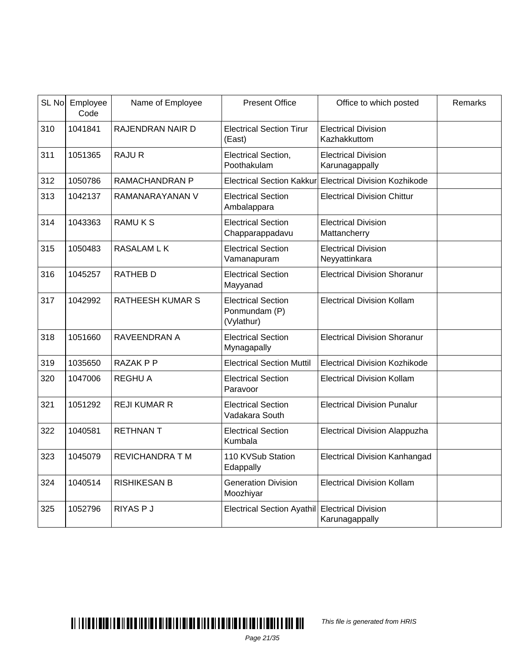| SL No | Employee<br>Code | Name of Employee        | <b>Present Office</b>                                    | Office to which posted                                  | Remarks |
|-------|------------------|-------------------------|----------------------------------------------------------|---------------------------------------------------------|---------|
| 310   | 1041841          | RAJENDRAN NAIR D        | <b>Electrical Section Tirur</b><br>(East)                | <b>Electrical Division</b><br>Kazhakkuttom              |         |
| 311   | 1051365          | <b>RAJUR</b>            | Electrical Section,<br>Poothakulam                       | <b>Electrical Division</b><br>Karunagappally            |         |
| 312   | 1050786          | RAMACHANDRAN P          |                                                          | Electrical Section Kakkur Electrical Division Kozhikode |         |
| 313   | 1042137          | RAMANARAYANAN V         | <b>Electrical Section</b><br>Ambalappara                 | <b>Electrical Division Chittur</b>                      |         |
| 314   | 1043363          | <b>RAMUKS</b>           | <b>Electrical Section</b><br>Chapparappadavu             | <b>Electrical Division</b><br>Mattancherry              |         |
| 315   | 1050483          | <b>RASALAM L K</b>      | <b>Electrical Section</b><br>Vamanapuram                 | <b>Electrical Division</b><br>Neyyattinkara             |         |
| 316   | 1045257          | <b>RATHEB D</b>         | <b>Electrical Section</b><br>Mayyanad                    | <b>Electrical Division Shoranur</b>                     |         |
| 317   | 1042992          | <b>RATHEESH KUMAR S</b> | <b>Electrical Section</b><br>Ponmundam (P)<br>(Vylathur) | <b>Electrical Division Kollam</b>                       |         |
| 318   | 1051660          | RAVEENDRAN A            | <b>Electrical Section</b><br>Mynagapally                 | <b>Electrical Division Shoranur</b>                     |         |
| 319   | 1035650          | RAZAK P P               | <b>Electrical Section Muttil</b>                         | <b>Electrical Division Kozhikode</b>                    |         |
| 320   | 1047006          | <b>REGHU A</b>          | <b>Electrical Section</b><br>Paravoor                    | <b>Electrical Division Kollam</b>                       |         |
| 321   | 1051292          | <b>REJI KUMAR R</b>     | <b>Electrical Section</b><br>Vadakara South              | <b>Electrical Division Punalur</b>                      |         |
| 322   | 1040581          | <b>RETHNANT</b>         | <b>Electrical Section</b><br>Kumbala                     | <b>Electrical Division Alappuzha</b>                    |         |
| 323   | 1045079          | <b>REVICHANDRA T M</b>  | 110 KVSub Station<br>Edappally                           | <b>Electrical Division Kanhangad</b>                    |         |
| 324   | 1040514          | <b>RISHIKESAN B</b>     | <b>Generation Division</b><br>Moozhiyar                  | <b>Electrical Division Kollam</b>                       |         |
| 325   | 1052796          | <b>RIYAS P J</b>        | Electrical Section Ayathil Electrical Division           | Karunagappally                                          |         |

#### $\blacksquare$

This file is generated from HRIS

Page 21/35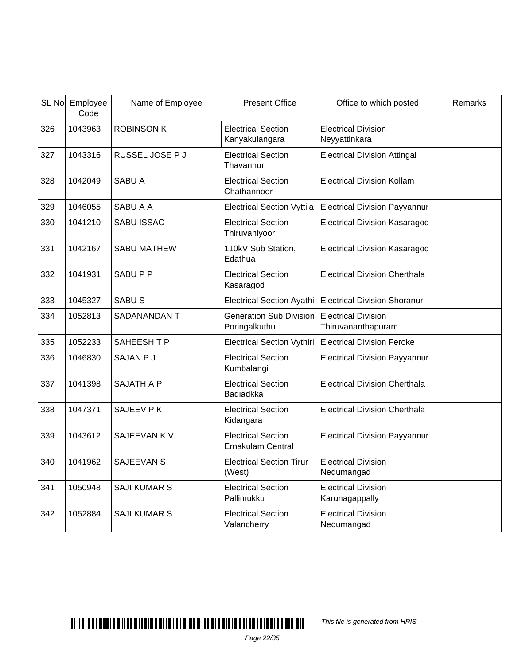|     | SL No Employee<br>Code | Name of Employee    | <b>Present Office</b>                                 | Office to which posted                                  | Remarks |
|-----|------------------------|---------------------|-------------------------------------------------------|---------------------------------------------------------|---------|
| 326 | 1043963                | <b>ROBINSON K</b>   | <b>Electrical Section</b><br>Kanyakulangara           | <b>Electrical Division</b><br>Neyyattinkara             |         |
| 327 | 1043316                | RUSSEL JOSE P J     | <b>Electrical Section</b><br>Thavannur                | <b>Electrical Division Attingal</b>                     |         |
| 328 | 1042049                | <b>SABU A</b>       | <b>Electrical Section</b><br>Chathannoor              | <b>Electrical Division Kollam</b>                       |         |
| 329 | 1046055                | SABU A A            | <b>Electrical Section Vyttila</b>                     | <b>Electrical Division Payyannur</b>                    |         |
| 330 | 1041210                | SABU ISSAC          | <b>Electrical Section</b><br>Thiruvaniyoor            | <b>Electrical Division Kasaragod</b>                    |         |
| 331 | 1042167                | <b>SABU MATHEW</b>  | 110kV Sub Station,<br>Edathua                         | <b>Electrical Division Kasaragod</b>                    |         |
| 332 | 1041931                | SABUPP              | <b>Electrical Section</b><br>Kasaragod                | <b>Electrical Division Cherthala</b>                    |         |
| 333 | 1045327                | SABU <sub>S</sub>   |                                                       | Electrical Section Ayathil Electrical Division Shoranur |         |
| 334 | 1052813                | SADANANDAN T        | <b>Generation Sub Division</b><br>Poringalkuthu       | <b>Electrical Division</b><br>Thiruvananthapuram        |         |
| 335 | 1052233                | SAHEESH T P         | <b>Electrical Section Vythiri</b>                     | <b>Electrical Division Feroke</b>                       |         |
| 336 | 1046830                | SAJAN P J           | <b>Electrical Section</b><br>Kumbalangi               | <b>Electrical Division Payyannur</b>                    |         |
| 337 | 1041398                | <b>SAJATH A P</b>   | <b>Electrical Section</b><br><b>Badiadkka</b>         | <b>Electrical Division Cherthala</b>                    |         |
| 338 | 1047371                | SAJEEV P K          | <b>Electrical Section</b><br>Kidangara                | <b>Electrical Division Cherthala</b>                    |         |
| 339 | 1043612                | SAJEEVAN K V        | <b>Electrical Section</b><br><b>Ernakulam Central</b> | <b>Electrical Division Payyannur</b>                    |         |
| 340 | 1041962                | <b>SAJEEVAN S</b>   | <b>Electrical Section Tirur</b><br>(West)             | <b>Electrical Division</b><br>Nedumangad                |         |
| 341 | 1050948                | <b>SAJI KUMAR S</b> | <b>Electrical Section</b><br>Pallimukku               | <b>Electrical Division</b><br>Karunagappally            |         |
| 342 | 1052884                | <b>SAJI KUMAR S</b> | <b>Electrical Section</b><br>Valancherry              | <b>Electrical Division</b><br>Nedumangad                |         |

# $\blacksquare$

This file is generated from HRIS

Page 22/35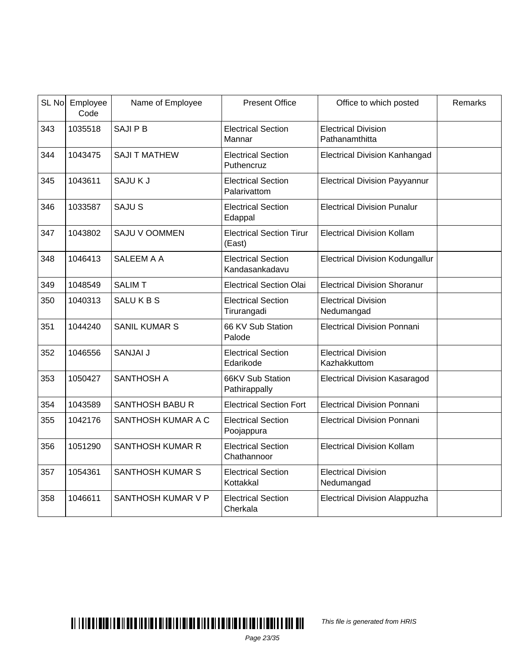|     | SL No Employee<br>Code | Name of Employee        | <b>Present Office</b>                       | Office to which posted                       | Remarks |
|-----|------------------------|-------------------------|---------------------------------------------|----------------------------------------------|---------|
| 343 | 1035518                | <b>SAJIPB</b>           | <b>Electrical Section</b><br>Mannar         | <b>Electrical Division</b><br>Pathanamthitta |         |
| 344 | 1043475                | <b>SAJI T MATHEW</b>    | <b>Electrical Section</b><br>Puthencruz     | <b>Electrical Division Kanhangad</b>         |         |
| 345 | 1043611                | SAJUKJ                  | <b>Electrical Section</b><br>Palarivattom   | <b>Electrical Division Payyannur</b>         |         |
| 346 | 1033587                | SAJU <sub>S</sub>       | <b>Electrical Section</b><br>Edappal        | <b>Electrical Division Punalur</b>           |         |
| 347 | 1043802                | SAJU V OOMMEN           | <b>Electrical Section Tirur</b><br>(East)   | <b>Electrical Division Kollam</b>            |         |
| 348 | 1046413                | SALEEM A A              | <b>Electrical Section</b><br>Kandasankadavu | <b>Electrical Division Kodungallur</b>       |         |
| 349 | 1048549                | <b>SALIMT</b>           | <b>Electrical Section Olai</b>              | <b>Electrical Division Shoranur</b>          |         |
| 350 | 1040313                | <b>SALUKBS</b>          | <b>Electrical Section</b><br>Tirurangadi    | <b>Electrical Division</b><br>Nedumangad     |         |
| 351 | 1044240                | <b>SANIL KUMAR S</b>    | 66 KV Sub Station<br>Palode                 | <b>Electrical Division Ponnani</b>           |         |
| 352 | 1046556                | SANJAI J                | <b>Electrical Section</b><br>Edarikode      | <b>Electrical Division</b><br>Kazhakkuttom   |         |
| 353 | 1050427                | <b>SANTHOSH A</b>       | 66KV Sub Station<br>Pathirappally           | <b>Electrical Division Kasaragod</b>         |         |
| 354 | 1043589                | <b>SANTHOSH BABU R</b>  | <b>Electrical Section Fort</b>              | <b>Electrical Division Ponnani</b>           |         |
| 355 | 1042176                | SANTHOSH KUMAR A C      | <b>Electrical Section</b><br>Poojappura     | <b>Electrical Division Ponnani</b>           |         |
| 356 | 1051290                | <b>SANTHOSH KUMAR R</b> | <b>Electrical Section</b><br>Chathannoor    | <b>Electrical Division Kollam</b>            |         |
| 357 | 1054361                | <b>SANTHOSH KUMAR S</b> | <b>Electrical Section</b><br>Kottakkal      | <b>Electrical Division</b><br>Nedumangad     |         |
| 358 | 1046611                | SANTHOSH KUMAR V P      | <b>Electrical Section</b><br>Cherkala       | <b>Electrical Division Alappuzha</b>         |         |

This file is generated from HRIS

Page 23/35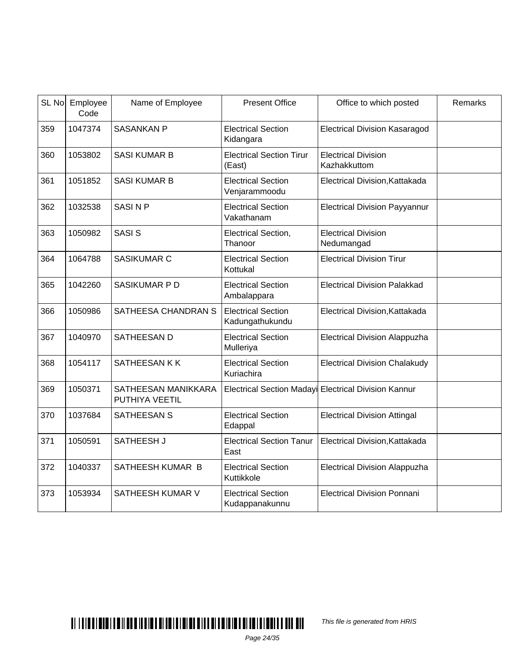| SL No | Employee<br>Code | Name of Employee                      | <b>Present Office</b>                        | Office to which posted                               | Remarks |
|-------|------------------|---------------------------------------|----------------------------------------------|------------------------------------------------------|---------|
| 359   | 1047374          | <b>SASANKAN P</b>                     | <b>Electrical Section</b><br>Kidangara       | <b>Electrical Division Kasaragod</b>                 |         |
| 360   | 1053802          | <b>SASI KUMAR B</b>                   | <b>Electrical Section Tirur</b><br>(East)    | <b>Electrical Division</b><br>Kazhakkuttom           |         |
| 361   | 1051852          | <b>SASI KUMAR B</b>                   | <b>Electrical Section</b><br>Venjarammoodu   | Electrical Division, Kattakada                       |         |
| 362   | 1032538          | <b>SASINP</b>                         | <b>Electrical Section</b><br>Vakathanam      | <b>Electrical Division Payyannur</b>                 |         |
| 363   | 1050982          | <b>SASIS</b>                          | Electrical Section,<br>Thanoor               | <b>Electrical Division</b><br>Nedumangad             |         |
| 364   | 1064788          | SASIKUMAR C                           | <b>Electrical Section</b><br>Kottukal        | <b>Electrical Division Tirur</b>                     |         |
| 365   | 1042260          | SASIKUMAR P D                         | <b>Electrical Section</b><br>Ambalappara     | <b>Electrical Division Palakkad</b>                  |         |
| 366   | 1050986          | SATHEESA CHANDRAN S                   | <b>Electrical Section</b><br>Kadungathukundu | Electrical Division, Kattakada                       |         |
| 367   | 1040970          | SATHEESAN D                           | <b>Electrical Section</b><br>Mulleriya       | <b>Electrical Division Alappuzha</b>                 |         |
| 368   | 1054117          | SATHEESAN K K                         | <b>Electrical Section</b><br>Kuriachira      | <b>Electrical Division Chalakudy</b>                 |         |
| 369   | 1050371          | SATHEESAN MANIKKARA<br>PUTHIYA VEETIL |                                              | Electrical Section Madayi Electrical Division Kannur |         |
| 370   | 1037684          | <b>SATHEESAN S</b>                    | <b>Electrical Section</b><br>Edappal         | <b>Electrical Division Attingal</b>                  |         |
| 371   | 1050591          | SATHEESH J                            | <b>Electrical Section Tanur</b><br>East      | Electrical Division, Kattakada                       |         |
| 372   | 1040337          | SATHEESH KUMAR B                      | <b>Electrical Section</b><br>Kuttikkole      | Electrical Division Alappuzha                        |         |
| 373   | 1053934          | SATHEESH KUMAR V                      | <b>Electrical Section</b><br>Kudappanakunnu  | <b>Electrical Division Ponnani</b>                   |         |

This file is generated from HRIS

Page 24/35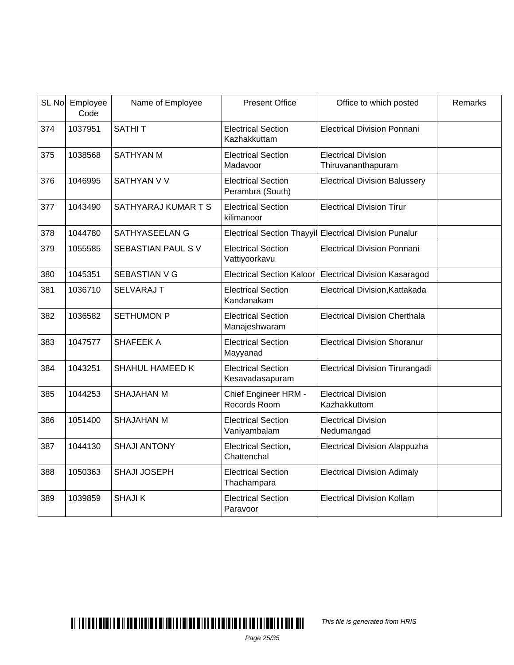| SL No | Employee<br>Code | Name of Employee       | <b>Present Office</b>                         | Office to which posted                                 | Remarks |
|-------|------------------|------------------------|-----------------------------------------------|--------------------------------------------------------|---------|
| 374   | 1037951          | <b>SATHIT</b>          | <b>Electrical Section</b><br>Kazhakkuttam     | <b>Electrical Division Ponnani</b>                     |         |
| 375   | 1038568          | <b>SATHYAN M</b>       | <b>Electrical Section</b><br>Madavoor         | <b>Electrical Division</b><br>Thiruvananthapuram       |         |
| 376   | 1046995          | SATHYAN V V            | <b>Electrical Section</b><br>Perambra (South) | <b>Electrical Division Balussery</b>                   |         |
| 377   | 1043490          | SATHYARAJ KUMAR T S    | <b>Electrical Section</b><br>kilimanoor       | <b>Electrical Division Tirur</b>                       |         |
| 378   | 1044780          | <b>SATHYASEELAN G</b>  |                                               | Electrical Section Thayyil Electrical Division Punalur |         |
| 379   | 1055585          | SEBASTIAN PAUL SV      | <b>Electrical Section</b><br>Vattiyoorkavu    | <b>Electrical Division Ponnani</b>                     |         |
| 380   | 1045351          | <b>SEBASTIAN V G</b>   | <b>Electrical Section Kaloor</b>              | <b>Electrical Division Kasaragod</b>                   |         |
| 381   | 1036710          | <b>SELVARAJ T</b>      | <b>Electrical Section</b><br>Kandanakam       | Electrical Division, Kattakada                         |         |
| 382   | 1036582          | <b>SETHUMON P</b>      | <b>Electrical Section</b><br>Manajeshwaram    | <b>Electrical Division Cherthala</b>                   |         |
| 383   | 1047577          | SHAFEEK A              | <b>Electrical Section</b><br>Mayyanad         | <b>Electrical Division Shoranur</b>                    |         |
| 384   | 1043251          | <b>SHAHUL HAMEED K</b> | <b>Electrical Section</b><br>Kesavadasapuram  | Electrical Division Tirurangadi                        |         |
| 385   | 1044253          | <b>SHAJAHAN M</b>      | Chief Engineer HRM -<br>Records Room          | <b>Electrical Division</b><br>Kazhakkuttom             |         |
| 386   | 1051400          | <b>SHAJAHAN M</b>      | <b>Electrical Section</b><br>Vaniyambalam     | <b>Electrical Division</b><br>Nedumangad               |         |
| 387   | 1044130          | <b>SHAJI ANTONY</b>    | Electrical Section,<br>Chattenchal            | <b>Electrical Division Alappuzha</b>                   |         |
| 388   | 1050363          | <b>SHAJI JOSEPH</b>    | <b>Electrical Section</b><br>Thachampara      | <b>Electrical Division Adimaly</b>                     |         |
| 389   | 1039859          | <b>SHAJIK</b>          | <b>Electrical Section</b><br>Paravoor         | <b>Electrical Division Kollam</b>                      |         |

This file is generated from HRIS

Page 25/35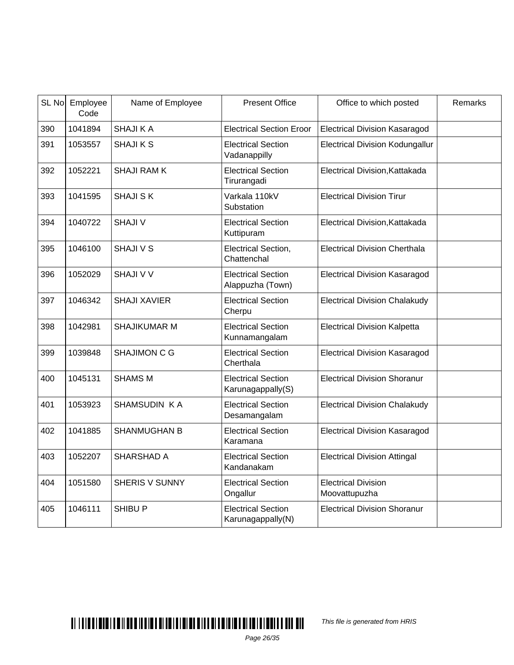| SL No | Employee<br>Code | Name of Employee      | <b>Present Office</b>                          | Office to which posted                      | Remarks |
|-------|------------------|-----------------------|------------------------------------------------|---------------------------------------------|---------|
| 390   | 1041894          | <b>SHAJI KA</b>       | <b>Electrical Section Eroor</b>                | <b>Electrical Division Kasaragod</b>        |         |
| 391   | 1053557          | <b>SHAJIKS</b>        | <b>Electrical Section</b><br>Vadanappilly      | <b>Electrical Division Kodungallur</b>      |         |
| 392   | 1052221          | <b>SHAJI RAMK</b>     | <b>Electrical Section</b><br>Tirurangadi       | Electrical Division, Kattakada              |         |
| 393   | 1041595          | <b>SHAJI SK</b>       | Varkala 110kV<br>Substation                    | <b>Electrical Division Tirur</b>            |         |
| 394   | 1040722          | <b>SHAJI V</b>        | <b>Electrical Section</b><br>Kuttipuram        | Electrical Division, Kattakada              |         |
| 395   | 1046100          | <b>SHAJI V S</b>      | Electrical Section,<br>Chattenchal             | <b>Electrical Division Cherthala</b>        |         |
| 396   | 1052029          | <b>SHAJI V V</b>      | <b>Electrical Section</b><br>Alappuzha (Town)  | <b>Electrical Division Kasaragod</b>        |         |
| 397   | 1046342          | <b>SHAJI XAVIER</b>   | <b>Electrical Section</b><br>Cherpu            | <b>Electrical Division Chalakudy</b>        |         |
| 398   | 1042981          | <b>SHAJIKUMAR M</b>   | <b>Electrical Section</b><br>Kunnamangalam     | <b>Electrical Division Kalpetta</b>         |         |
| 399   | 1039848          | <b>SHAJIMON C G</b>   | <b>Electrical Section</b><br>Cherthala         | <b>Electrical Division Kasaragod</b>        |         |
| 400   | 1045131          | <b>SHAMS M</b>        | <b>Electrical Section</b><br>Karunagappally(S) | <b>Electrical Division Shoranur</b>         |         |
| 401   | 1053923          | SHAMSUDIN KA          | <b>Electrical Section</b><br>Desamangalam      | <b>Electrical Division Chalakudy</b>        |         |
| 402   | 1041885          | <b>SHANMUGHAN B</b>   | <b>Electrical Section</b><br>Karamana          | <b>Electrical Division Kasaragod</b>        |         |
| 403   | 1052207          | SHARSHAD A            | <b>Electrical Section</b><br>Kandanakam        | <b>Electrical Division Attingal</b>         |         |
| 404   | 1051580          | <b>SHERIS V SUNNY</b> | <b>Electrical Section</b><br>Ongallur          | <b>Electrical Division</b><br>Moovattupuzha |         |
| 405   | 1046111          | <b>SHIBU P</b>        | <b>Electrical Section</b><br>Karunagappally(N) | <b>Electrical Division Shoranur</b>         |         |

This file is generated from HRIS

Page 26/35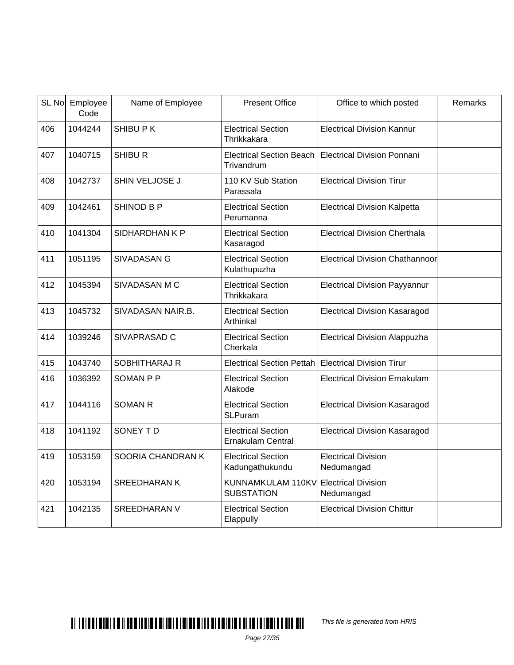| SL No | Employee<br>Code | Name of Employee     | <b>Present Office</b>                                 | Office to which posted                   | Remarks |
|-------|------------------|----------------------|-------------------------------------------------------|------------------------------------------|---------|
| 406   | 1044244          | SHIBU PK             | <b>Electrical Section</b><br>Thrikkakara              | <b>Electrical Division Kannur</b>        |         |
| 407   | 1040715          | <b>SHIBU R</b>       | <b>Electrical Section Beach</b><br>Trivandrum         | <b>Electrical Division Ponnani</b>       |         |
| 408   | 1042737          | SHIN VELJOSE J       | 110 KV Sub Station<br>Parassala                       | <b>Electrical Division Tirur</b>         |         |
| 409   | 1042461          | <b>SHINOD B P</b>    | <b>Electrical Section</b><br>Perumanna                | <b>Electrical Division Kalpetta</b>      |         |
| 410   | 1041304          | SIDHARDHAN K P       | <b>Electrical Section</b><br>Kasaragod                | <b>Electrical Division Cherthala</b>     |         |
| 411   | 1051195          | <b>SIVADASAN G</b>   | <b>Electrical Section</b><br>Kulathupuzha             | <b>Electrical Division Chathannoor</b>   |         |
| 412   | 1045394          | SIVADASAN M C        | <b>Electrical Section</b><br>Thrikkakara              | <b>Electrical Division Payyannur</b>     |         |
| 413   | 1045732          | SIVADASAN NAIR.B.    | <b>Electrical Section</b><br>Arthinkal                | <b>Electrical Division Kasaragod</b>     |         |
| 414   | 1039246          | SIVAPRASAD C         | <b>Electrical Section</b><br>Cherkala                 | <b>Electrical Division Alappuzha</b>     |         |
| 415   | 1043740          | <b>SOBHITHARAJ R</b> | <b>Electrical Section Pettah</b>                      | <b>Electrical Division Tirur</b>         |         |
| 416   | 1036392          | <b>SOMAN P P</b>     | <b>Electrical Section</b><br>Alakode                  | <b>Electrical Division Ernakulam</b>     |         |
| 417   | 1044116          | <b>SOMAN R</b>       | <b>Electrical Section</b><br><b>SLPuram</b>           | <b>Electrical Division Kasaragod</b>     |         |
| 418   | 1041192          | SONEY TD             | <b>Electrical Section</b><br><b>Ernakulam Central</b> | <b>Electrical Division Kasaragod</b>     |         |
| 419   | 1053159          | SOORIA CHANDRAN K    | <b>Electrical Section</b><br>Kadungathukundu          | <b>Electrical Division</b><br>Nedumangad |         |
| 420   | 1053194          | <b>SREEDHARAN K</b>  | KUNNAMKULAM 110KV<br><b>SUBSTATION</b>                | <b>Electrical Division</b><br>Nedumangad |         |
| 421   | 1042135          | <b>SREEDHARAN V</b>  | <b>Electrical Section</b><br>Elappully                | <b>Electrical Division Chittur</b>       |         |

#### $\blacksquare$

This file is generated from HRIS

Page 27/35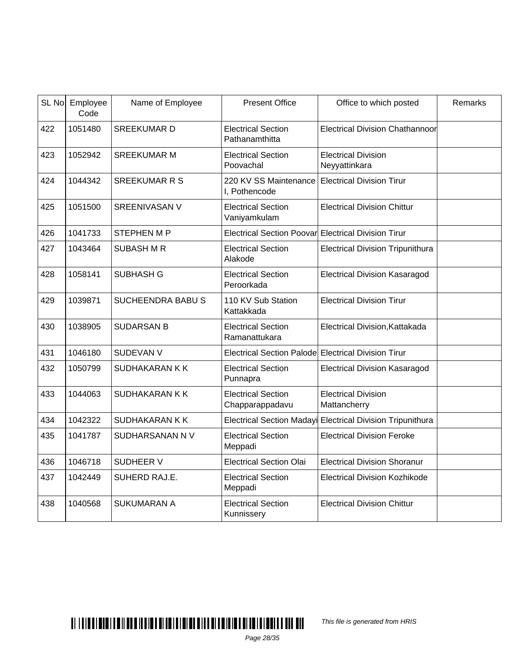| SL No | Employee<br>Code | Name of Employee        | <b>Present Office</b>                               | Office to which posted                      | Remarks |
|-------|------------------|-------------------------|-----------------------------------------------------|---------------------------------------------|---------|
| 422   | 1051480          | <b>SREEKUMARD</b>       | <b>Electrical Section</b><br>Pathanamthitta         | <b>Electrical Division Chathannoor</b>      |         |
| 423   | 1052942          | <b>SREEKUMAR M</b>      | <b>Electrical Section</b><br>Poovachal              | <b>Electrical Division</b><br>Neyyattinkara |         |
| 424   | 1044342          | <b>SREEKUMAR R S</b>    | 220 KV SS Maintenance<br>I, Pothencode              | <b>Electrical Division Tirur</b>            |         |
| 425   | 1051500          | <b>SREENIVASAN V</b>    | <b>Electrical Section</b><br>Vaniyamkulam           | <b>Electrical Division Chittur</b>          |         |
| 426   | 1041733          | <b>STEPHEN M P</b>      | Electrical Section Poovar Electrical Division Tirur |                                             |         |
| 427   | 1043464          | <b>SUBASH M R</b>       | <b>Electrical Section</b><br>Alakode                | <b>Electrical Division Tripunithura</b>     |         |
| 428   | 1058141          | <b>SUBHASH G</b>        | <b>Electrical Section</b><br>Peroorkada             | <b>Electrical Division Kasaragod</b>        |         |
| 429   | 1039871          | <b>SUCHEENDRA BABUS</b> | 110 KV Sub Station<br>Kattakkada                    | <b>Electrical Division Tirur</b>            |         |
| 430   | 1038905          | <b>SUDARSAN B</b>       | <b>Electrical Section</b><br>Ramanattukara          | Electrical Division, Kattakada              |         |
| 431   | 1046180          | <b>SUDEVAN V</b>        | Electrical Section Palode Electrical Division Tirur |                                             |         |
| 432   | 1050799          | SUDHAKARAN K K          | <b>Electrical Section</b><br>Punnapra               | <b>Electrical Division Kasaragod</b>        |         |
| 433   | 1044063          | SUDHAKARAN K K          | <b>Electrical Section</b><br>Chapparappadavu        | <b>Electrical Division</b><br>Mattancherry  |         |
| 434   | 1042322          | SUDHAKARAN K K          | Electrical Section Madayi                           | <b>Electrical Division Tripunithura</b>     |         |
| 435   | 1041787          | SUDHARSANAN N V         | <b>Electrical Section</b><br>Meppadi                | <b>Electrical Division Feroke</b>           |         |
| 436   | 1046718          | <b>SUDHEER V</b>        | <b>Electrical Section Olai</b>                      | <b>Electrical Division Shoranur</b>         |         |
| 437   | 1042449          | SUHERD RAJ.E.           | <b>Electrical Section</b><br>Meppadi                | <b>Electrical Division Kozhikode</b>        |         |
| 438   | 1040568          | <b>SUKUMARAN A</b>      | <b>Electrical Section</b><br>Kunnissery             | <b>Electrical Division Chittur</b>          |         |

This file is generated from HRIS

Page 28/35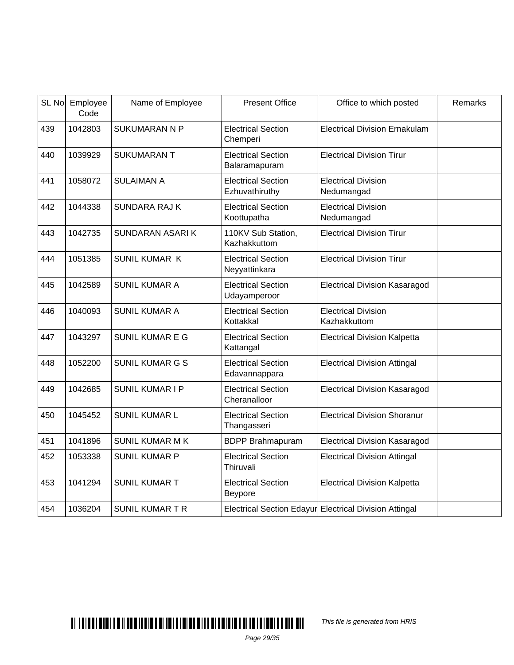|     | SL No Employee<br>Code | Name of Employee       | <b>Present Office</b>                       | Office to which posted                                 | Remarks |
|-----|------------------------|------------------------|---------------------------------------------|--------------------------------------------------------|---------|
| 439 | 1042803                | <b>SUKUMARAN N P</b>   | <b>Electrical Section</b><br>Chemperi       | <b>Electrical Division Ernakulam</b>                   |         |
| 440 | 1039929                | <b>SUKUMARANT</b>      | <b>Electrical Section</b><br>Balaramapuram  | <b>Electrical Division Tirur</b>                       |         |
| 441 | 1058072                | <b>SULAIMAN A</b>      | <b>Electrical Section</b><br>Ezhuvathiruthy | <b>Electrical Division</b><br>Nedumangad               |         |
| 442 | 1044338                | <b>SUNDARA RAJ K</b>   | <b>Electrical Section</b><br>Koottupatha    | <b>Electrical Division</b><br>Nedumangad               |         |
| 443 | 1042735                | <b>SUNDARAN ASARIK</b> | 110KV Sub Station,<br>Kazhakkuttom          | <b>Electrical Division Tirur</b>                       |         |
| 444 | 1051385                | <b>SUNIL KUMAR K</b>   | <b>Electrical Section</b><br>Neyyattinkara  | <b>Electrical Division Tirur</b>                       |         |
| 445 | 1042589                | <b>SUNIL KUMAR A</b>   | <b>Electrical Section</b><br>Udayamperoor   | <b>Electrical Division Kasaragod</b>                   |         |
| 446 | 1040093                | <b>SUNIL KUMAR A</b>   | <b>Electrical Section</b><br>Kottakkal      | <b>Electrical Division</b><br>Kazhakkuttom             |         |
| 447 | 1043297                | <b>SUNIL KUMAR E G</b> | <b>Electrical Section</b><br>Kattangal      | <b>Electrical Division Kalpetta</b>                    |         |
| 448 | 1052200                | <b>SUNIL KUMAR G S</b> | <b>Electrical Section</b><br>Edavannappara  | <b>Electrical Division Attingal</b>                    |         |
| 449 | 1042685                | <b>SUNIL KUMAR I P</b> | <b>Electrical Section</b><br>Cheranalloor   | <b>Electrical Division Kasaragod</b>                   |         |
| 450 | 1045452                | <b>SUNIL KUMAR L</b>   | <b>Electrical Section</b><br>Thangasseri    | <b>Electrical Division Shoranur</b>                    |         |
| 451 | 1041896                | <b>SUNIL KUMAR M K</b> | <b>BDPP Brahmapuram</b>                     | <b>Electrical Division Kasaragod</b>                   |         |
| 452 | 1053338                | <b>SUNIL KUMAR P</b>   | <b>Electrical Section</b><br>Thiruvali      | <b>Electrical Division Attingal</b>                    |         |
| 453 | 1041294                | <b>SUNIL KUMAR T</b>   | <b>Electrical Section</b><br>Beypore        | <b>Electrical Division Kalpetta</b>                    |         |
| 454 | 1036204                | <b>SUNIL KUMAR T R</b> |                                             | Electrical Section Edayur Electrical Division Attingal |         |

This file is generated from HRIS

Page 29/35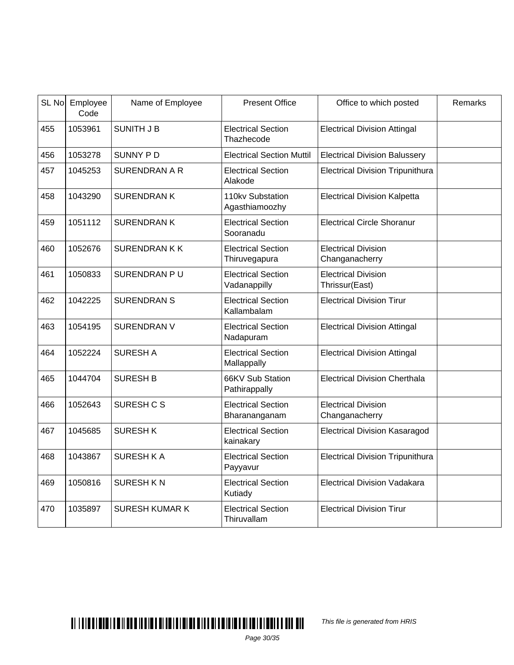|     | SL No Employee<br>Code | Name of Employee      | <b>Present Office</b>                      | Office to which posted                       | Remarks |
|-----|------------------------|-----------------------|--------------------------------------------|----------------------------------------------|---------|
| 455 | 1053961                | <b>SUNITH J B</b>     | <b>Electrical Section</b><br>Thazhecode    | <b>Electrical Division Attingal</b>          |         |
| 456 | 1053278                | <b>SUNNY PD</b>       | <b>Electrical Section Muttil</b>           | <b>Electrical Division Balussery</b>         |         |
| 457 | 1045253                | <b>SURENDRAN A R</b>  | <b>Electrical Section</b><br>Alakode       | <b>Electrical Division Tripunithura</b>      |         |
| 458 | 1043290                | <b>SURENDRANK</b>     | 110kv Substation<br>Agasthiamoozhy         | <b>Electrical Division Kalpetta</b>          |         |
| 459 | 1051112                | <b>SURENDRANK</b>     | <b>Electrical Section</b><br>Sooranadu     | <b>Electrical Circle Shoranur</b>            |         |
| 460 | 1052676                | <b>SURENDRANKK</b>    | <b>Electrical Section</b><br>Thiruvegapura | <b>Electrical Division</b><br>Changanacherry |         |
| 461 | 1050833                | SURENDRAN PU          | <b>Electrical Section</b><br>Vadanappilly  | <b>Electrical Division</b><br>Thrissur(East) |         |
| 462 | 1042225                | <b>SURENDRAN S</b>    | <b>Electrical Section</b><br>Kallambalam   | <b>Electrical Division Tirur</b>             |         |
| 463 | 1054195                | <b>SURENDRAN V</b>    | <b>Electrical Section</b><br>Nadapuram     | <b>Electrical Division Attingal</b>          |         |
| 464 | 1052224                | <b>SURESH A</b>       | <b>Electrical Section</b><br>Mallappally   | <b>Electrical Division Attingal</b>          |         |
| 465 | 1044704                | <b>SURESH B</b>       | 66KV Sub Station<br>Pathirappally          | <b>Electrical Division Cherthala</b>         |         |
| 466 | 1052643                | SURESH C S            | <b>Electrical Section</b><br>Bharananganam | <b>Electrical Division</b><br>Changanacherry |         |
| 467 | 1045685                | <b>SURESHK</b>        | <b>Electrical Section</b><br>kainakary     | <b>Electrical Division Kasaragod</b>         |         |
| 468 | 1043867                | <b>SURESH KA</b>      | <b>Electrical Section</b><br>Payyavur      | <b>Electrical Division Tripunithura</b>      |         |
| 469 | 1050816                | <b>SURESH KN</b>      | <b>Electrical Section</b><br>Kutiady       | <b>Electrical Division Vadakara</b>          |         |
| 470 | 1035897                | <b>SURESH KUMAR K</b> | <b>Electrical Section</b><br>Thiruvallam   | <b>Electrical Division Tirur</b>             |         |

This file is generated from HRIS

Page 30/35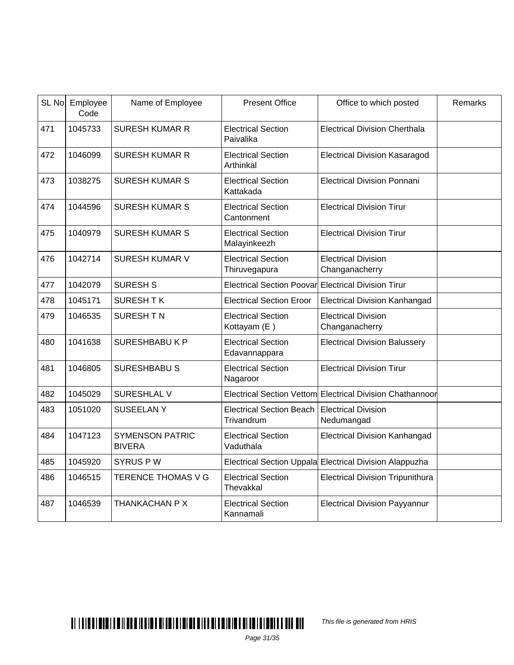|     | SL No Employee<br>Code | Name of Employee                        | <b>Present Office</b>                         | Office to which posted                                  | Remarks |
|-----|------------------------|-----------------------------------------|-----------------------------------------------|---------------------------------------------------------|---------|
| 471 | 1045733                | <b>SURESH KUMAR R</b>                   | <b>Electrical Section</b><br>Paivalika        | <b>Electrical Division Cherthala</b>                    |         |
| 472 | 1046099                | <b>SURESH KUMAR R</b>                   | <b>Electrical Section</b><br>Arthinkal        | <b>Electrical Division Kasaragod</b>                    |         |
| 473 | 1038275                | <b>SURESH KUMAR S</b>                   | <b>Electrical Section</b><br>Kattakada        | <b>Electrical Division Ponnani</b>                      |         |
| 474 | 1044596                | <b>SURESH KUMAR S</b>                   | <b>Electrical Section</b><br>Cantonment       | <b>Electrical Division Tirur</b>                        |         |
| 475 | 1040979                | <b>SURESH KUMAR S</b>                   | <b>Electrical Section</b><br>Malayinkeezh     | <b>Electrical Division Tirur</b>                        |         |
| 476 | 1042714                | <b>SURESH KUMAR V</b>                   | <b>Electrical Section</b><br>Thiruvegapura    | <b>Electrical Division</b><br>Changanacherry            |         |
| 477 | 1042079                | <b>SURESH S</b>                         | Electrical Section Poovar                     | <b>Electrical Division Tirur</b>                        |         |
| 478 | 1045171                | <b>SURESHTK</b>                         | <b>Electrical Section Eroor</b>               | <b>Electrical Division Kanhangad</b>                    |         |
| 479 | 1046535                | SURESH TN                               | <b>Electrical Section</b><br>Kottayam (E)     | <b>Electrical Division</b><br>Changanacherry            |         |
| 480 | 1041638                | <b>SURESHBABUKP</b>                     | <b>Electrical Section</b><br>Edavannappara    | <b>Electrical Division Balussery</b>                    |         |
| 481 | 1046805                | <b>SURESHBABU S</b>                     | <b>Electrical Section</b><br>Nagaroor         | <b>Electrical Division Tirur</b>                        |         |
| 482 | 1045029                | <b>SURESHLAL V</b>                      | <b>Electrical Section Vettom</b>              | Electrical Division Chathannoor                         |         |
| 483 | 1051020                | <b>SUSEELANY</b>                        | <b>Electrical Section Beach</b><br>Trivandrum | <b>Electrical Division</b><br>Nedumangad                |         |
| 484 | 1047123                | <b>SYMENSON PATRIC</b><br><b>BIVERA</b> | <b>Electrical Section</b><br>Vaduthala        | <b>Electrical Division Kanhangad</b>                    |         |
| 485 | 1045920                | <b>SYRUS PW</b>                         |                                               | Electrical Section Uppala Electrical Division Alappuzha |         |
| 486 | 1046515                | TERENCE THOMAS V G                      | <b>Electrical Section</b><br>Thevakkal        | <b>Electrical Division Tripunithura</b>                 |         |
| 487 | 1046539                | THANKACHAN P X                          | <b>Electrical Section</b><br>Kannamali        | <b>Electrical Division Payyannur</b>                    |         |

This file is generated from HRIS

Page 31/35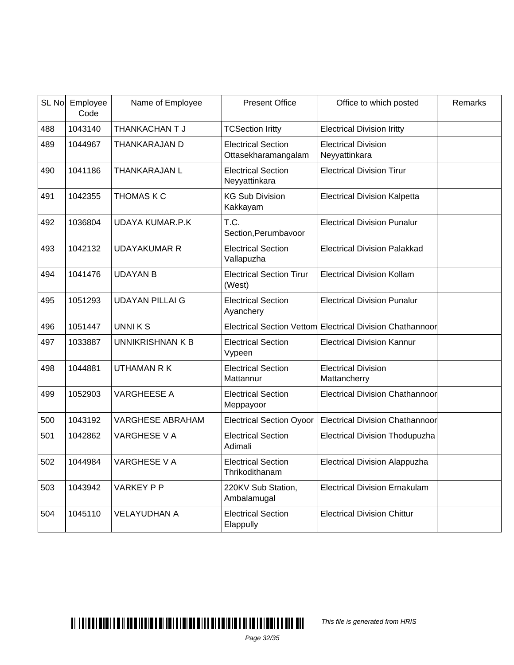| SL No | Employee<br>Code | Name of Employee        | <b>Present Office</b>                            | Office to which posted                                    | Remarks |
|-------|------------------|-------------------------|--------------------------------------------------|-----------------------------------------------------------|---------|
| 488   | 1043140          | THANKACHAN T J          | <b>TCSection Iritty</b>                          | <b>Electrical Division Iritty</b>                         |         |
| 489   | 1044967          | THANKARAJAN D           | <b>Electrical Section</b><br>Ottasekharamangalam | <b>Electrical Division</b><br>Neyyattinkara               |         |
| 490   | 1041186          | THANKARAJAN L           | <b>Electrical Section</b><br>Neyyattinkara       | <b>Electrical Division Tirur</b>                          |         |
| 491   | 1042355          | THOMAS K C              | <b>KG Sub Division</b><br>Kakkayam               | <b>Electrical Division Kalpetta</b>                       |         |
| 492   | 1036804          | <b>UDAYA KUMAR.P.K</b>  | T.C.<br>Section, Perumbavoor                     | <b>Electrical Division Punalur</b>                        |         |
| 493   | 1042132          | UDAYAKUMAR R            | <b>Electrical Section</b><br>Vallapuzha          | <b>Electrical Division Palakkad</b>                       |         |
| 494   | 1041476          | <b>UDAYAN B</b>         | <b>Electrical Section Tirur</b><br>(West)        | <b>Electrical Division Kollam</b>                         |         |
| 495   | 1051293          | <b>UDAYAN PILLAI G</b>  | <b>Electrical Section</b><br>Ayanchery           | <b>Electrical Division Punalur</b>                        |         |
| 496   | 1051447          | <b>UNNIKS</b>           |                                                  | Electrical Section Vettom Electrical Division Chathannoor |         |
| 497   | 1033887          | UNNIKRISHNAN K B        | <b>Electrical Section</b><br>Vypeen              | <b>Electrical Division Kannur</b>                         |         |
| 498   | 1044881          | <b>UTHAMAN R K</b>      | <b>Electrical Section</b><br>Mattannur           | <b>Electrical Division</b><br>Mattancherry                |         |
| 499   | 1052903          | <b>VARGHEESE A</b>      | <b>Electrical Section</b><br>Meppayoor           | <b>Electrical Division Chathannoor</b>                    |         |
| 500   | 1043192          | <b>VARGHESE ABRAHAM</b> | <b>Electrical Section Oyoor</b>                  | <b>Electrical Division Chathannoor</b>                    |         |
| 501   | 1042862          | <b>VARGHESE V A</b>     | <b>Electrical Section</b><br>Adimali             | <b>Electrical Division Thodupuzha</b>                     |         |
| 502   | 1044984          | <b>VARGHESE V A</b>     | <b>Electrical Section</b><br>Thrikodithanam      | <b>Electrical Division Alappuzha</b>                      |         |
| 503   | 1043942          | <b>VARKEY P P</b>       | 220KV Sub Station,<br>Ambalamugal                | <b>Electrical Division Ernakulam</b>                      |         |
| 504   | 1045110          | <b>VELAYUDHAN A</b>     | <b>Electrical Section</b><br>Elappully           | <b>Electrical Division Chittur</b>                        |         |

# $\blacksquare$

This file is generated from HRIS

Page 32/35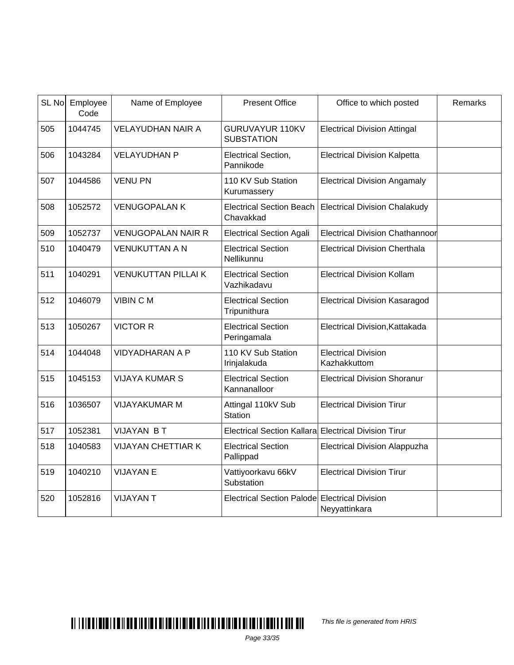| SL No | Employee<br>Code | Name of Employee           | <b>Present Office</b>                                | Office to which posted                     | Remarks |
|-------|------------------|----------------------------|------------------------------------------------------|--------------------------------------------|---------|
| 505   | 1044745          | <b>VELAYUDHAN NAIR A</b>   | <b>GURUVAYUR 110KV</b><br><b>SUBSTATION</b>          | <b>Electrical Division Attingal</b>        |         |
| 506   | 1043284          | <b>VELAYUDHAN P</b>        | Electrical Section,<br>Pannikode                     | <b>Electrical Division Kalpetta</b>        |         |
| 507   | 1044586          | <b>VENU PN</b>             | 110 KV Sub Station<br>Kurumassery                    | <b>Electrical Division Angamaly</b>        |         |
| 508   | 1052572          | <b>VENUGOPALAN K</b>       | <b>Electrical Section Beach</b><br>Chavakkad         | <b>Electrical Division Chalakudy</b>       |         |
| 509   | 1052737          | <b>VENUGOPALAN NAIR R</b>  | <b>Electrical Section Agali</b>                      | Electrical Division Chathannoor            |         |
| 510   | 1040479          | <b>VENUKUTTAN A N</b>      | <b>Electrical Section</b><br>Nellikunnu              | <b>Electrical Division Cherthala</b>       |         |
| 511   | 1040291          | <b>VENUKUTTAN PILLAI K</b> | <b>Electrical Section</b><br>Vazhikadavu             | <b>Electrical Division Kollam</b>          |         |
| 512   | 1046079          | <b>VIBIN CM</b>            | <b>Electrical Section</b><br>Tripunithura            | <b>Electrical Division Kasaragod</b>       |         |
| 513   | 1050267          | <b>VICTOR R</b>            | <b>Electrical Section</b><br>Peringamala             | Electrical Division, Kattakada             |         |
| 514   | 1044048          | <b>VIDYADHARAN A P</b>     | 110 KV Sub Station<br>Irinjalakuda                   | <b>Electrical Division</b><br>Kazhakkuttom |         |
| 515   | 1045153          | <b>VIJAYA KUMAR S</b>      | <b>Electrical Section</b><br>Kannanalloor            | <b>Electrical Division Shoranur</b>        |         |
| 516   | 1036507          | <b>VIJAYAKUMAR M</b>       | Attingal 110kV Sub<br><b>Station</b>                 | <b>Electrical Division Tirur</b>           |         |
| 517   | 1052381          | <b>VIJAYAN BT</b>          | Electrical Section Kallara Electrical Division Tirur |                                            |         |
| 518   | 1040583          | <b>VIJAYAN CHETTIAR K</b>  | <b>Electrical Section</b><br>Pallippad               | Electrical Division Alappuzha              |         |
| 519   | 1040210          | <b>VIJAYAN E</b>           | Vattiyoorkavu 66kV<br>Substation                     | <b>Electrical Division Tirur</b>           |         |
| 520   | 1052816          | <b>VIJAYANT</b>            | Electrical Section Palode Electrical Division        | Neyyattinkara                              |         |

This file is generated from HRIS

Page 33/35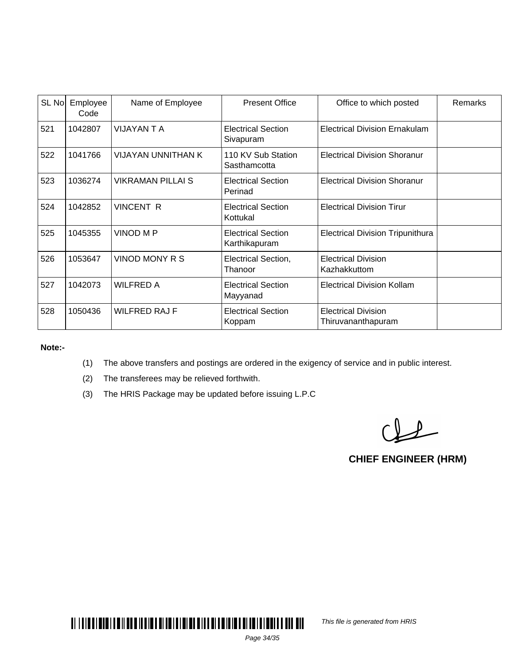| SL No | Employee<br>Code | Name of Employee         | <b>Present Office</b>                      | Office to which posted                           | Remarks |
|-------|------------------|--------------------------|--------------------------------------------|--------------------------------------------------|---------|
| 521   | 1042807          | VIJAYAN T A              | <b>Electrical Section</b><br>Sivapuram     | <b>Electrical Division Ernakulam</b>             |         |
| 522   | 1041766          | VIJAYAN UNNITHAN K       | 110 KV Sub Station<br>Sasthamcotta         | <b>Electrical Division Shoranur</b>              |         |
| 523   | 1036274          | <b>VIKRAMAN PILLAI S</b> | <b>Electrical Section</b><br>Perinad       | <b>Electrical Division Shoranur</b>              |         |
| 524   | 1042852          | <b>VINCENT R</b>         | <b>Electrical Section</b><br>Kottukal      | <b>Electrical Division Tirur</b>                 |         |
| 525   | 1045355          | <b>VINOD M P</b>         | <b>Electrical Section</b><br>Karthikapuram | <b>Electrical Division Tripunithura</b>          |         |
| 526   | 1053647          | <b>VINOD MONY R S</b>    | <b>Electrical Section,</b><br>Thanoor      | <b>Electrical Division</b><br>Kazhakkuttom       |         |
| 527   | 1042073          | <b>WILFRED A</b>         | <b>Electrical Section</b><br>Mayyanad      | <b>Electrical Division Kollam</b>                |         |
| 528   | 1050436          | <b>WILFRED RAJ F</b>     | <b>Electrical Section</b><br>Koppam        | <b>Electrical Division</b><br>Thiruvananthapuram |         |

**Note:-**

- (1) The above transfers and postings are ordered in the exigency of service and in public interest.
- (2) The transferees may be relieved forthwith.
- (3) The HRIS Package may be updated before issuing L.P.C

 $Q_{\text{eff}}$ 

**CHIEF ENGINEER (HRM)**



This file is generated from HRIS